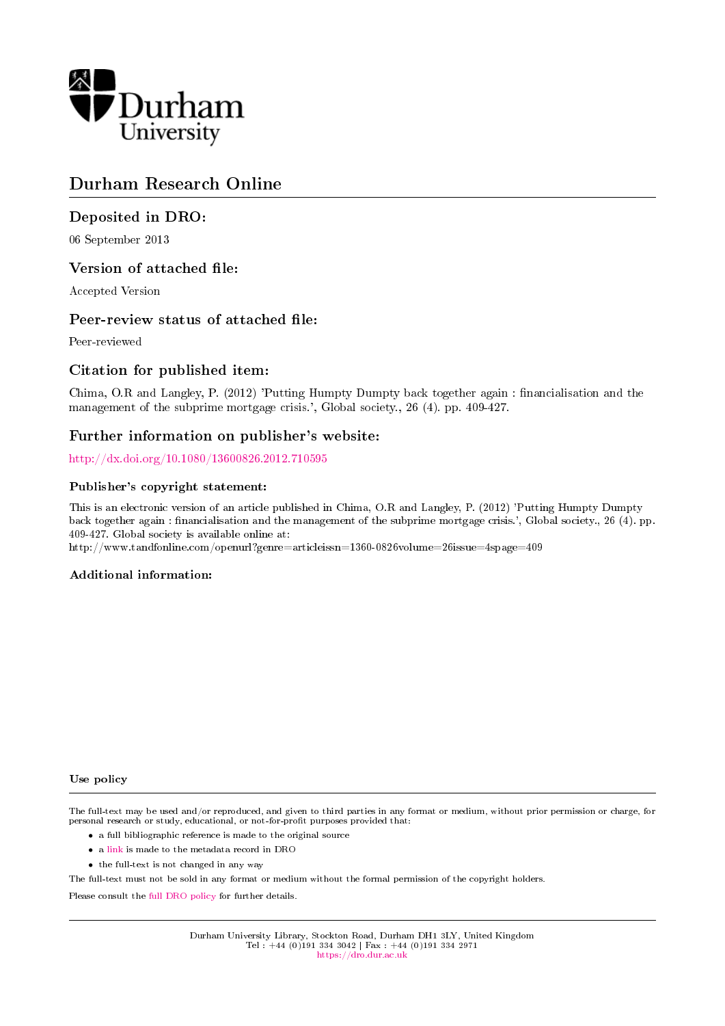

# Durham Research Online

# Deposited in DRO:

06 September 2013

# Version of attached file:

Accepted Version

# Peer-review status of attached file:

Peer-reviewed

# Citation for published item:

Chima, O.R and Langley, P. (2012) 'Putting Humpty Dumpty back together again : financialisation and the management of the subprime mortgage crisis.', Global society., 26 (4). pp. 409-427.

# Further information on publisher's website:

<http://dx.doi.org/10.1080/13600826.2012.710595>

#### Publisher's copyright statement:

This is an electronic version of an article published in Chima, O.R and Langley, P. (2012) 'Putting Humpty Dumpty back together again : nancialisation and the management of the subprime mortgage crisis.', Global society., 26 (4). pp. 409-427. Global society is available online at:

http://www.tandfonline.com/openurl?genre=articleissn=1360-0826volume=26issue=4spage=409

#### Additional information:

#### Use policy

The full-text may be used and/or reproduced, and given to third parties in any format or medium, without prior permission or charge, for personal research or study, educational, or not-for-profit purposes provided that:

- a full bibliographic reference is made to the original source
- a [link](http://dro.dur.ac.uk/11330/) is made to the metadata record in DRO
- the full-text is not changed in any way

The full-text must not be sold in any format or medium without the formal permission of the copyright holders.

Please consult the [full DRO policy](https://dro.dur.ac.uk/policies/usepolicy.pdf) for further details.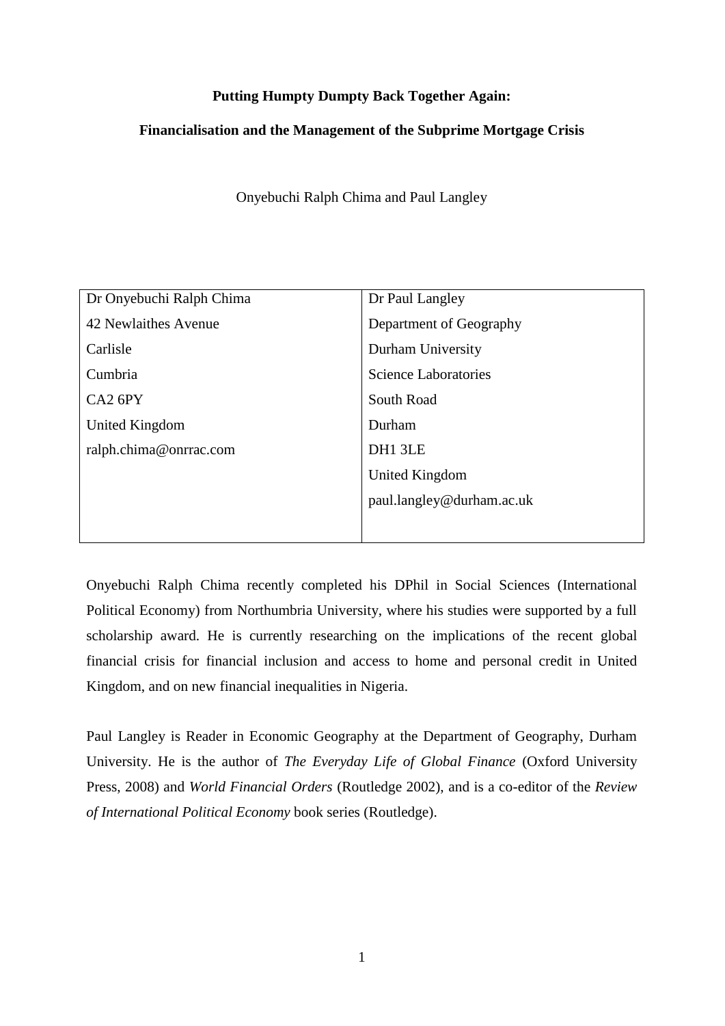# **Putting Humpty Dumpty Back Together Again:**

# **Financialisation and the Management of the Subprime Mortgage Crisis**

Onyebuchi Ralph Chima and Paul Langley

| Dr Onyebuchi Ralph Chima | Dr Paul Langley             |
|--------------------------|-----------------------------|
| 42 Newlaithes Avenue     | Department of Geography     |
| Carlisle                 | Durham University           |
| Cumbria                  | <b>Science Laboratories</b> |
| CA <sub>2</sub> 6PY      | South Road                  |
| United Kingdom           | Durham                      |
| ralph.chima@onrrac.com   | DH1 3LE                     |
|                          | United Kingdom              |
|                          | paul.langley@durham.ac.uk   |
|                          |                             |

Onyebuchi Ralph Chima recently completed his DPhil in Social Sciences (International Political Economy) from Northumbria University, where his studies were supported by a full scholarship award. He is currently researching on the implications of the recent global financial crisis for financial inclusion and access to home and personal credit in United Kingdom, and on new financial inequalities in Nigeria.

Paul Langley is Reader in Economic Geography at the Department of Geography, Durham University. He is the author of *The Everyday Life of Global Finance* (Oxford University Press, 2008) and *World Financial Orders* (Routledge 2002), and is a co-editor of the *Review of International Political Economy* book series (Routledge).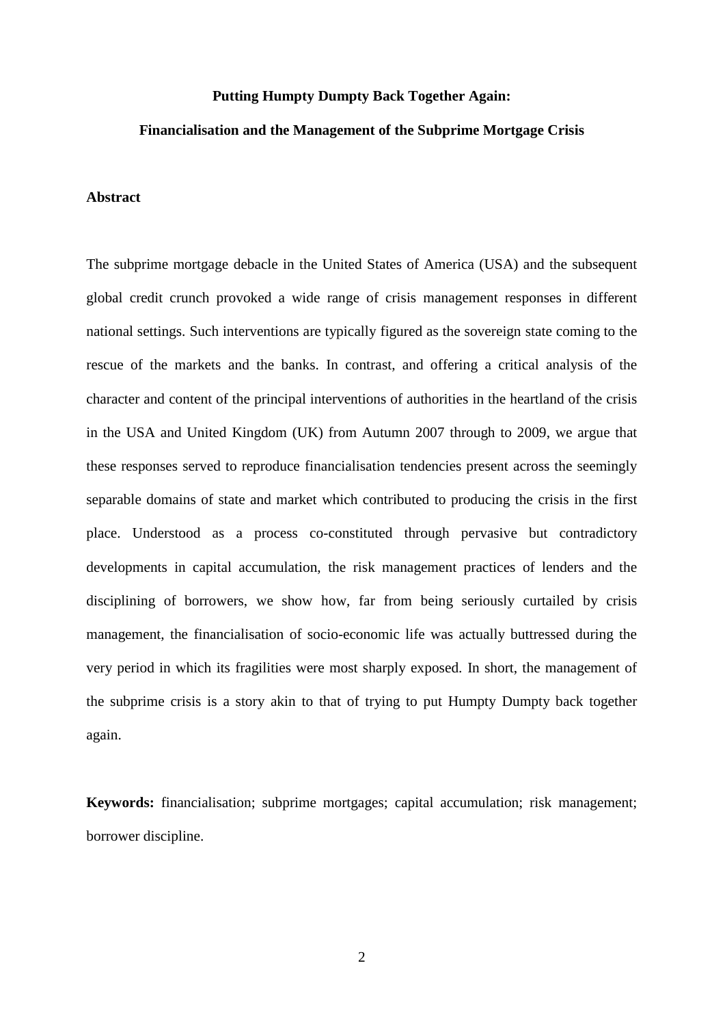#### **Putting Humpty Dumpty Back Together Again:**

#### **Financialisation and the Management of the Subprime Mortgage Crisis**

### **Abstract**

The subprime mortgage debacle in the United States of America (USA) and the subsequent global credit crunch provoked a wide range of crisis management responses in different national settings. Such interventions are typically figured as the sovereign state coming to the rescue of the markets and the banks. In contrast, and offering a critical analysis of the character and content of the principal interventions of authorities in the heartland of the crisis in the USA and United Kingdom (UK) from Autumn 2007 through to 2009, we argue that these responses served to reproduce financialisation tendencies present across the seemingly separable domains of state and market which contributed to producing the crisis in the first place. Understood as a process co-constituted through pervasive but contradictory developments in capital accumulation, the risk management practices of lenders and the disciplining of borrowers, we show how, far from being seriously curtailed by crisis management, the financialisation of socio-economic life was actually buttressed during the very period in which its fragilities were most sharply exposed. In short, the management of the subprime crisis is a story akin to that of trying to put Humpty Dumpty back together again.

**Keywords:** financialisation; subprime mortgages; capital accumulation; risk management; borrower discipline.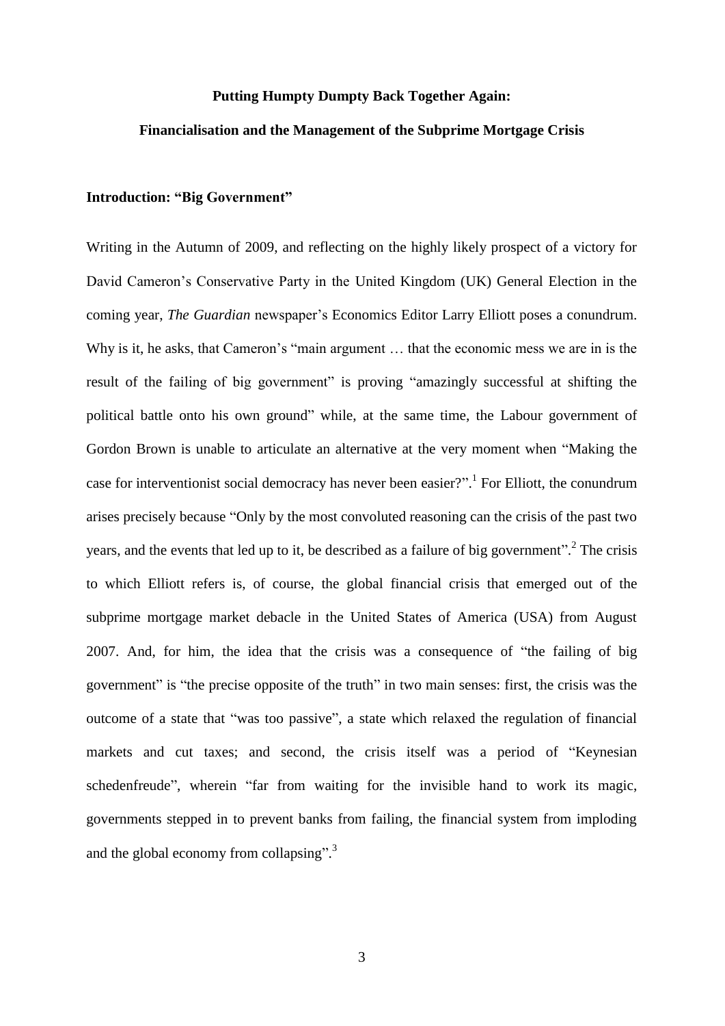#### **Putting Humpty Dumpty Back Together Again:**

### **Financialisation and the Management of the Subprime Mortgage Crisis**

### **Introduction: "Big Government"**

Writing in the Autumn of 2009, and reflecting on the highly likely prospect of a victory for David Cameron's Conservative Party in the United Kingdom (UK) General Election in the coming year, *The Guardian* newspaper's Economics Editor Larry Elliott poses a conundrum. Why is it, he asks, that Cameron's "main argument … that the economic mess we are in is the result of the failing of big government" is proving "amazingly successful at shifting the political battle onto his own ground" while, at the same time, the Labour government of Gordon Brown is unable to articulate an alternative at the very moment when "Making the case for interventionist social democracy has never been easier?".<sup>1</sup> For Elliott, the conundrum arises precisely because "Only by the most convoluted reasoning can the crisis of the past two years, and the events that led up to it, be described as a failure of big government".<sup>2</sup> The crisis to which Elliott refers is, of course, the global financial crisis that emerged out of the subprime mortgage market debacle in the United States of America (USA) from August 2007. And, for him, the idea that the crisis was a consequence of "the failing of big government" is "the precise opposite of the truth" in two main senses: first, the crisis was the outcome of a state that "was too passive", a state which relaxed the regulation of financial markets and cut taxes; and second, the crisis itself was a period of "Keynesian schedenfreude", wherein "far from waiting for the invisible hand to work its magic, governments stepped in to prevent banks from failing, the financial system from imploding and the global economy from collapsing".<sup>3</sup>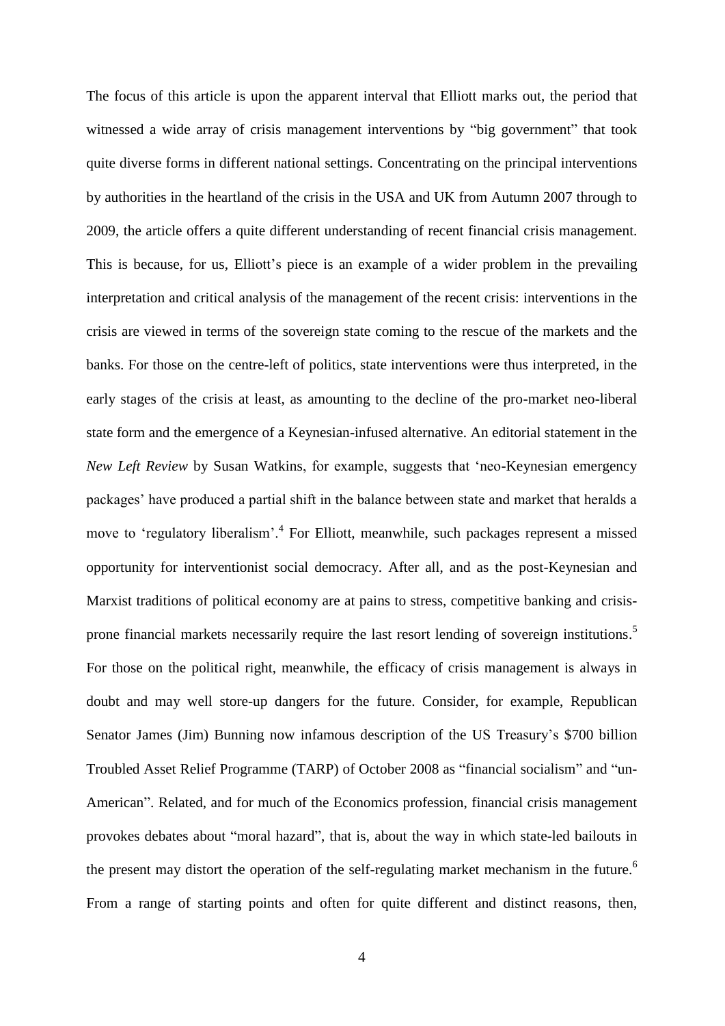The focus of this article is upon the apparent interval that Elliott marks out, the period that witnessed a wide array of crisis management interventions by "big government" that took quite diverse forms in different national settings. Concentrating on the principal interventions by authorities in the heartland of the crisis in the USA and UK from Autumn 2007 through to 2009, the article offers a quite different understanding of recent financial crisis management. This is because, for us, Elliott's piece is an example of a wider problem in the prevailing interpretation and critical analysis of the management of the recent crisis: interventions in the crisis are viewed in terms of the sovereign state coming to the rescue of the markets and the banks. For those on the centre-left of politics, state interventions were thus interpreted, in the early stages of the crisis at least, as amounting to the decline of the pro-market neo-liberal state form and the emergence of a Keynesian-infused alternative. An editorial statement in the *New Left Review* by Susan Watkins, for example, suggests that 'neo-Keynesian emergency packages' have produced a partial shift in the balance between state and market that heralds a move to 'regulatory liberalism'.<sup>4</sup> For Elliott, meanwhile, such packages represent a missed opportunity for interventionist social democracy. After all, and as the post-Keynesian and Marxist traditions of political economy are at pains to stress, competitive banking and crisisprone financial markets necessarily require the last resort lending of sovereign institutions.<sup>5</sup> For those on the political right, meanwhile, the efficacy of crisis management is always in doubt and may well store-up dangers for the future. Consider, for example, Republican Senator James (Jim) Bunning now infamous description of the US Treasury's \$700 billion Troubled Asset Relief Programme (TARP) of October 2008 as "financial socialism" and "un-American". Related, and for much of the Economics profession, financial crisis management provokes debates about "moral hazard", that is, about the way in which state-led bailouts in the present may distort the operation of the self-regulating market mechanism in the future.<sup>6</sup> From a range of starting points and often for quite different and distinct reasons, then,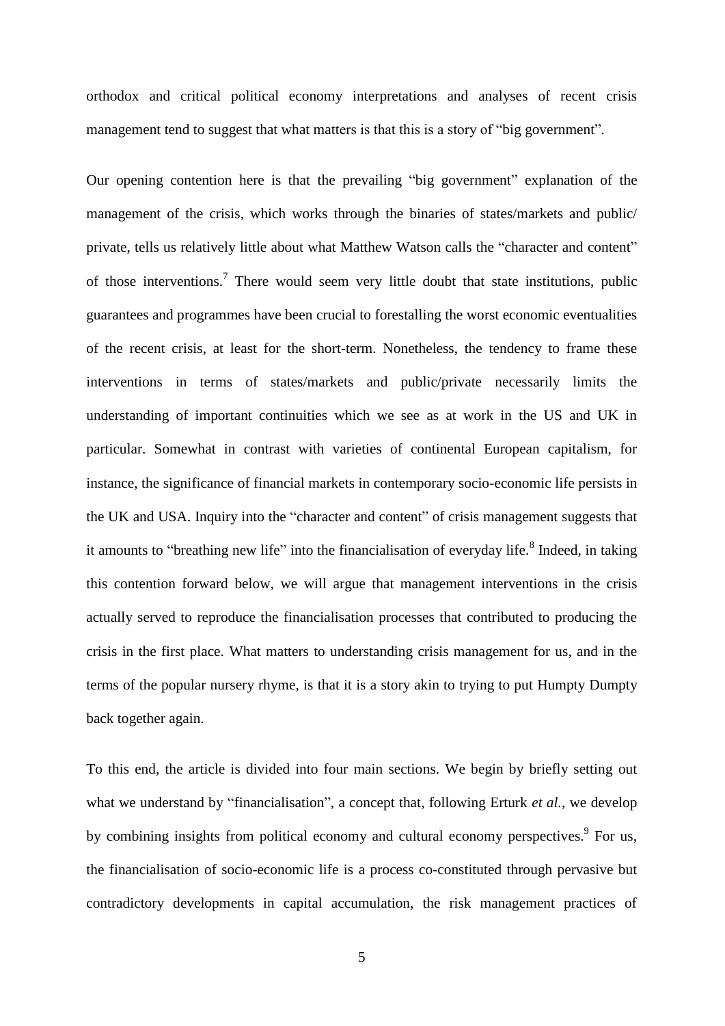orthodox and critical political economy interpretations and analyses of recent crisis management tend to suggest that what matters is that this is a story of "big government".

Our opening contention here is that the prevailing "big government" explanation of the management of the crisis, which works through the binaries of states/markets and public/ private, tells us relatively little about what Matthew Watson calls the "character and content" of those interventions.<sup>7</sup> There would seem very little doubt that state institutions, public guarantees and programmes have been crucial to forestalling the worst economic eventualities of the recent crisis, at least for the short-term. Nonetheless, the tendency to frame these interventions in terms of states/markets and public/private necessarily limits the understanding of important continuities which we see as at work in the US and UK in particular. Somewhat in contrast with varieties of continental European capitalism, for instance, the significance of financial markets in contemporary socio-economic life persists in the UK and USA. Inquiry into the "character and content" of crisis management suggests that it amounts to "breathing new life" into the financialisation of everyday life.<sup>8</sup> Indeed, in taking this contention forward below, we will argue that management interventions in the crisis actually served to reproduce the financialisation processes that contributed to producing the crisis in the first place. What matters to understanding crisis management for us, and in the terms of the popular nursery rhyme, is that it is a story akin to trying to put Humpty Dumpty back together again.

To this end, the article is divided into four main sections. We begin by briefly setting out what we understand by "financialisation", a concept that, following Erturk *et al.*, we develop by combining insights from political economy and cultural economy perspectives.<sup>9</sup> For us, the financialisation of socio-economic life is a process co-constituted through pervasive but contradictory developments in capital accumulation, the risk management practices of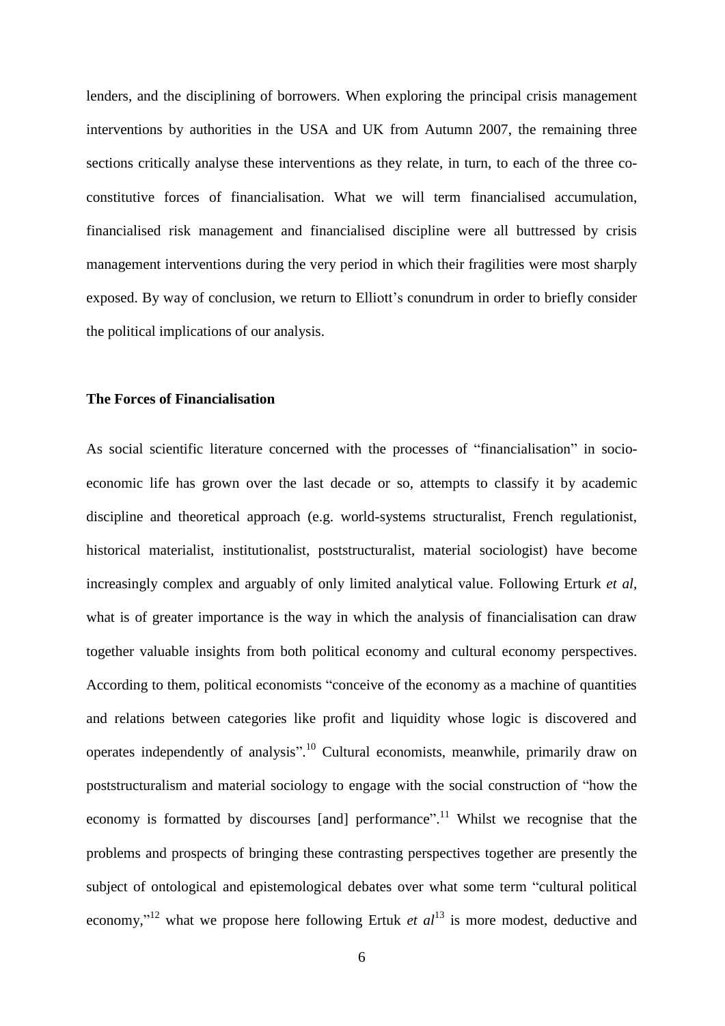lenders, and the disciplining of borrowers. When exploring the principal crisis management interventions by authorities in the USA and UK from Autumn 2007, the remaining three sections critically analyse these interventions as they relate, in turn, to each of the three coconstitutive forces of financialisation. What we will term financialised accumulation, financialised risk management and financialised discipline were all buttressed by crisis management interventions during the very period in which their fragilities were most sharply exposed. By way of conclusion, we return to Elliott's conundrum in order to briefly consider the political implications of our analysis.

### **The Forces of Financialisation**

As social scientific literature concerned with the processes of "financialisation" in socioeconomic life has grown over the last decade or so, attempts to classify it by academic discipline and theoretical approach (e.g. world-systems structuralist, French regulationist, historical materialist, institutionalist, poststructuralist, material sociologist) have become increasingly complex and arguably of only limited analytical value. Following Erturk *et al,* what is of greater importance is the way in which the analysis of financialisation can draw together valuable insights from both political economy and cultural economy perspectives. According to them, political economists "conceive of the economy as a machine of quantities and relations between categories like profit and liquidity whose logic is discovered and operates independently of analysis".<sup>10</sup> Cultural economists, meanwhile, primarily draw on poststructuralism and material sociology to engage with the social construction of "how the economy is formatted by discourses [and] performance".<sup>11</sup> Whilst we recognise that the problems and prospects of bringing these contrasting perspectives together are presently the subject of ontological and epistemological debates over what some term "cultural political economy,"<sup>12</sup> what we propose here following Ertuk *et al*<sup>13</sup> is more modest, deductive and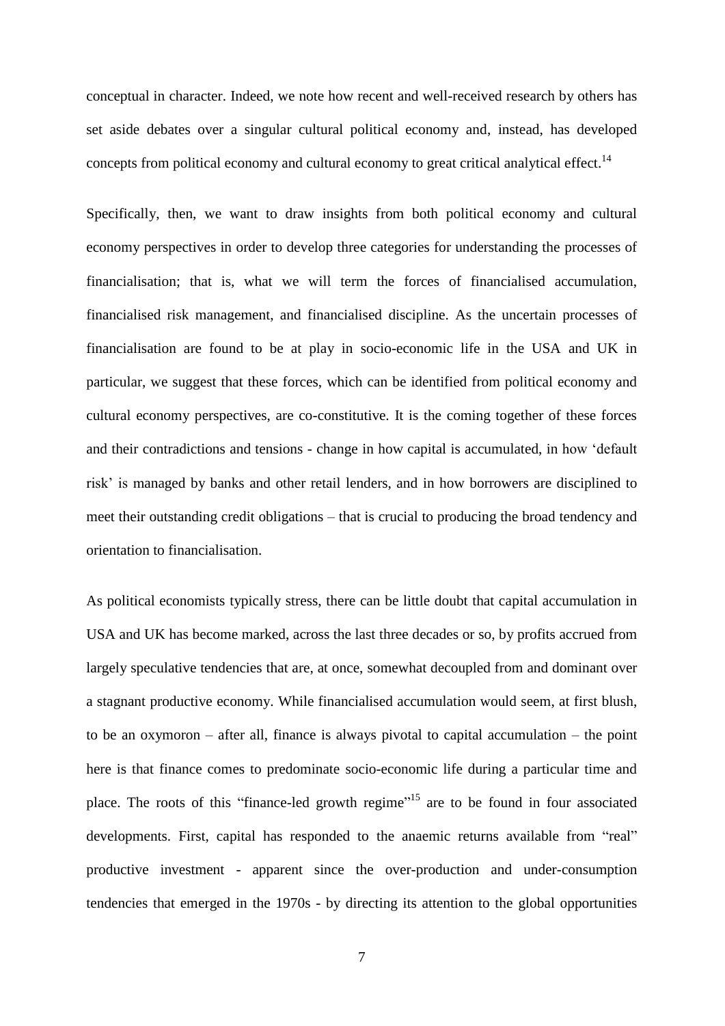conceptual in character. Indeed, we note how recent and well-received research by others has set aside debates over a singular cultural political economy and, instead, has developed concepts from political economy and cultural economy to great critical analytical effect.<sup>14</sup>

Specifically, then, we want to draw insights from both political economy and cultural economy perspectives in order to develop three categories for understanding the processes of financialisation; that is, what we will term the forces of financialised accumulation, financialised risk management, and financialised discipline. As the uncertain processes of financialisation are found to be at play in socio-economic life in the USA and UK in particular, we suggest that these forces, which can be identified from political economy and cultural economy perspectives, are co-constitutive. It is the coming together of these forces and their contradictions and tensions - change in how capital is accumulated, in how 'default risk' is managed by banks and other retail lenders, and in how borrowers are disciplined to meet their outstanding credit obligations – that is crucial to producing the broad tendency and orientation to financialisation.

As political economists typically stress, there can be little doubt that capital accumulation in USA and UK has become marked, across the last three decades or so, by profits accrued from largely speculative tendencies that are, at once, somewhat decoupled from and dominant over a stagnant productive economy. While financialised accumulation would seem, at first blush, to be an oxymoron – after all, finance is always pivotal to capital accumulation – the point here is that finance comes to predominate socio-economic life during a particular time and place. The roots of this "finance-led growth regime"<sup>15</sup> are to be found in four associated developments. First, capital has responded to the anaemic returns available from "real" productive investment - apparent since the over-production and under-consumption tendencies that emerged in the 1970s - by directing its attention to the global opportunities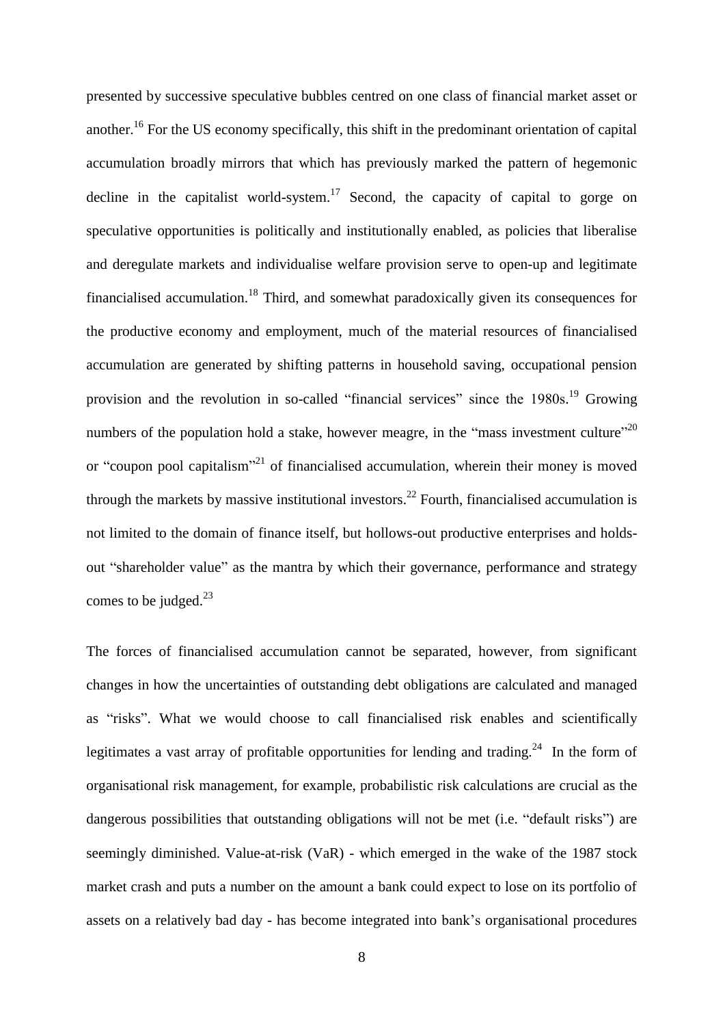presented by successive speculative bubbles centred on one class of financial market asset or another.<sup>16</sup> For the US economy specifically, this shift in the predominant orientation of capital accumulation broadly mirrors that which has previously marked the pattern of hegemonic decline in the capitalist world-system.<sup>17</sup> Second, the capacity of capital to gorge on speculative opportunities is politically and institutionally enabled, as policies that liberalise and deregulate markets and individualise welfare provision serve to open-up and legitimate financialised accumulation.<sup>18</sup> Third, and somewhat paradoxically given its consequences for the productive economy and employment, much of the material resources of financialised accumulation are generated by shifting patterns in household saving, occupational pension provision and the revolution in so-called "financial services" since the 1980s.<sup>19</sup> Growing numbers of the population hold a stake, however meagre, in the "mass investment culture" or "coupon pool capitalism"<sup>21</sup> of financialised accumulation, wherein their money is moved through the markets by massive institutional investors.<sup>22</sup> Fourth, financialised accumulation is not limited to the domain of finance itself, but hollows-out productive enterprises and holdsout "shareholder value" as the mantra by which their governance, performance and strategy comes to be judged. $^{23}$ 

The forces of financialised accumulation cannot be separated, however, from significant changes in how the uncertainties of outstanding debt obligations are calculated and managed as "risks". What we would choose to call financialised risk enables and scientifically legitimates a vast array of profitable opportunities for lending and trading.<sup>24</sup> In the form of organisational risk management, for example, probabilistic risk calculations are crucial as the dangerous possibilities that outstanding obligations will not be met (i.e. "default risks") are seemingly diminished. Value-at-risk (VaR) - which emerged in the wake of the 1987 stock market crash and puts a number on the amount a bank could expect to lose on its portfolio of assets on a relatively bad day - has become integrated into bank's organisational procedures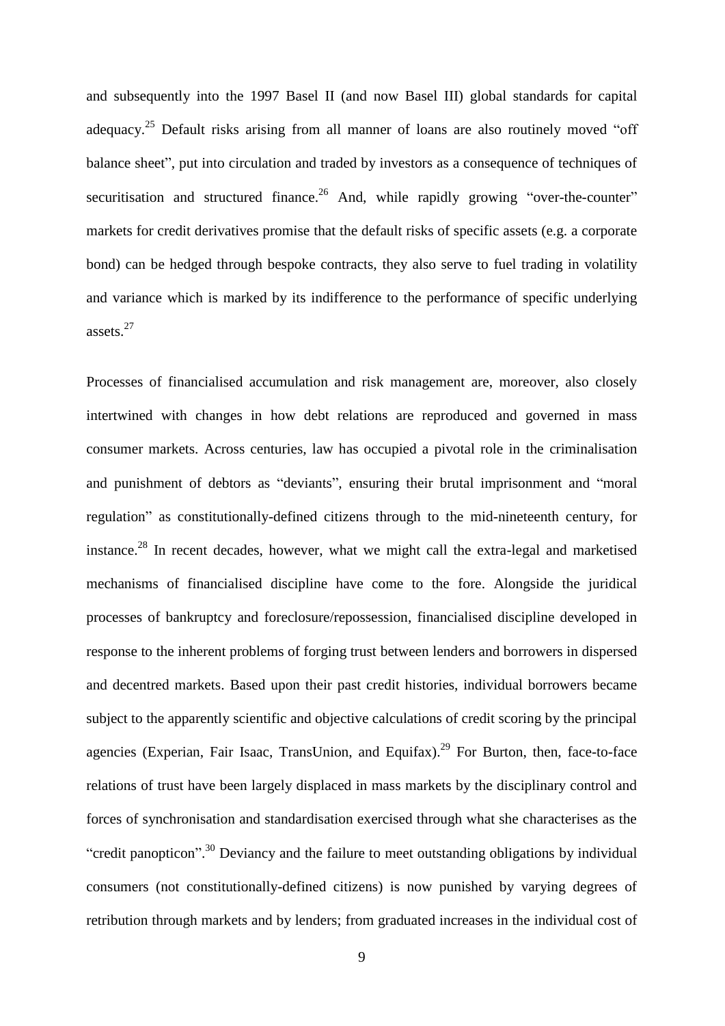and subsequently into the 1997 Basel II (and now Basel III) global standards for capital adequacy.<sup>25</sup> Default risks arising from all manner of loans are also routinely moved "off balance sheet", put into circulation and traded by investors as a consequence of techniques of securitisation and structured finance.<sup>26</sup> And, while rapidly growing "over-the-counter" markets for credit derivatives promise that the default risks of specific assets (e.g. a corporate bond) can be hedged through bespoke contracts, they also serve to fuel trading in volatility and variance which is marked by its indifference to the performance of specific underlying assets. 27

Processes of financialised accumulation and risk management are, moreover, also closely intertwined with changes in how debt relations are reproduced and governed in mass consumer markets. Across centuries, law has occupied a pivotal role in the criminalisation and punishment of debtors as "deviants", ensuring their brutal imprisonment and "moral regulation" as constitutionally-defined citizens through to the mid-nineteenth century, for instance.<sup>28</sup> In recent decades, however, what we might call the extra-legal and marketised mechanisms of financialised discipline have come to the fore. Alongside the juridical processes of bankruptcy and foreclosure/repossession, financialised discipline developed in response to the inherent problems of forging trust between lenders and borrowers in dispersed and decentred markets. Based upon their past credit histories, individual borrowers became subject to the apparently scientific and objective calculations of credit scoring by the principal agencies (Experian, Fair Isaac, TransUnion, and Equifax).<sup>29</sup> For Burton, then, face-to-face relations of trust have been largely displaced in mass markets by the disciplinary control and forces of synchronisation and standardisation exercised through what she characterises as the "credit panopticon".<sup>30</sup> Deviancy and the failure to meet outstanding obligations by individual consumers (not constitutionally-defined citizens) is now punished by varying degrees of retribution through markets and by lenders; from graduated increases in the individual cost of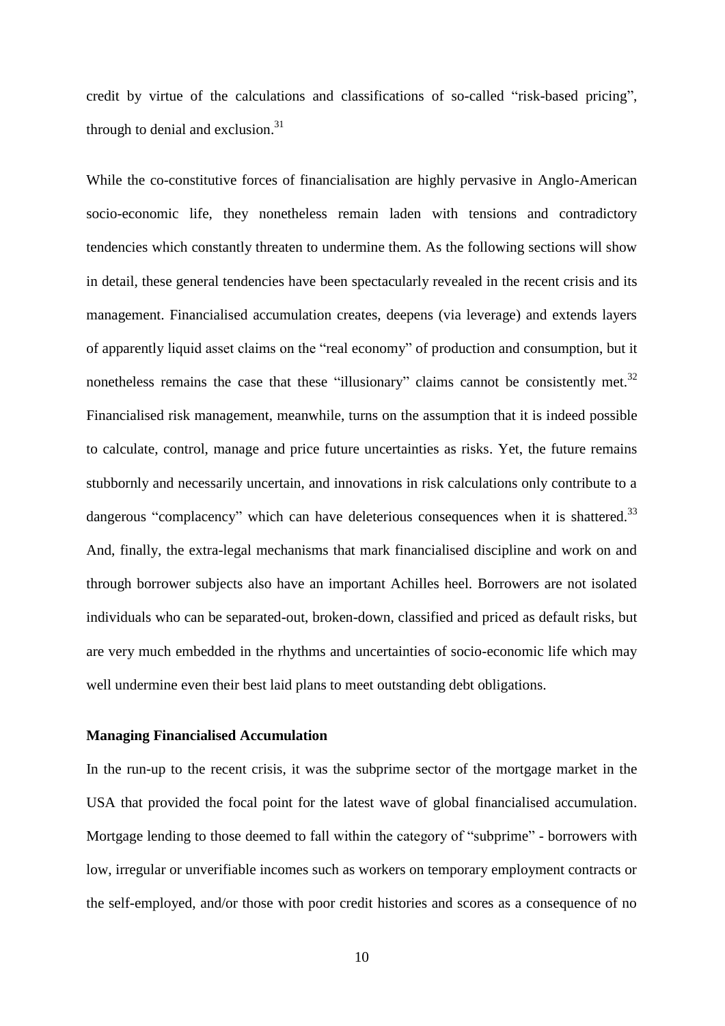credit by virtue of the calculations and classifications of so-called "risk-based pricing", through to denial and exclusion. $31$ 

While the co-constitutive forces of financialisation are highly pervasive in Anglo-American socio-economic life, they nonetheless remain laden with tensions and contradictory tendencies which constantly threaten to undermine them. As the following sections will show in detail, these general tendencies have been spectacularly revealed in the recent crisis and its management. Financialised accumulation creates, deepens (via leverage) and extends layers of apparently liquid asset claims on the "real economy" of production and consumption, but it nonetheless remains the case that these "illusionary" claims cannot be consistently met.<sup>32</sup> Financialised risk management, meanwhile, turns on the assumption that it is indeed possible to calculate, control, manage and price future uncertainties as risks. Yet, the future remains stubbornly and necessarily uncertain, and innovations in risk calculations only contribute to a dangerous "complacency" which can have deleterious consequences when it is shattered.<sup>33</sup> And, finally, the extra-legal mechanisms that mark financialised discipline and work on and through borrower subjects also have an important Achilles heel. Borrowers are not isolated individuals who can be separated-out, broken-down, classified and priced as default risks, but are very much embedded in the rhythms and uncertainties of socio-economic life which may well undermine even their best laid plans to meet outstanding debt obligations.

### **Managing Financialised Accumulation**

In the run-up to the recent crisis, it was the subprime sector of the mortgage market in the USA that provided the focal point for the latest wave of global financialised accumulation. Mortgage lending to those deemed to fall within the category of "subprime" - borrowers with low, irregular or unverifiable incomes such as workers on temporary employment contracts or the self-employed, and/or those with poor credit histories and scores as a consequence of no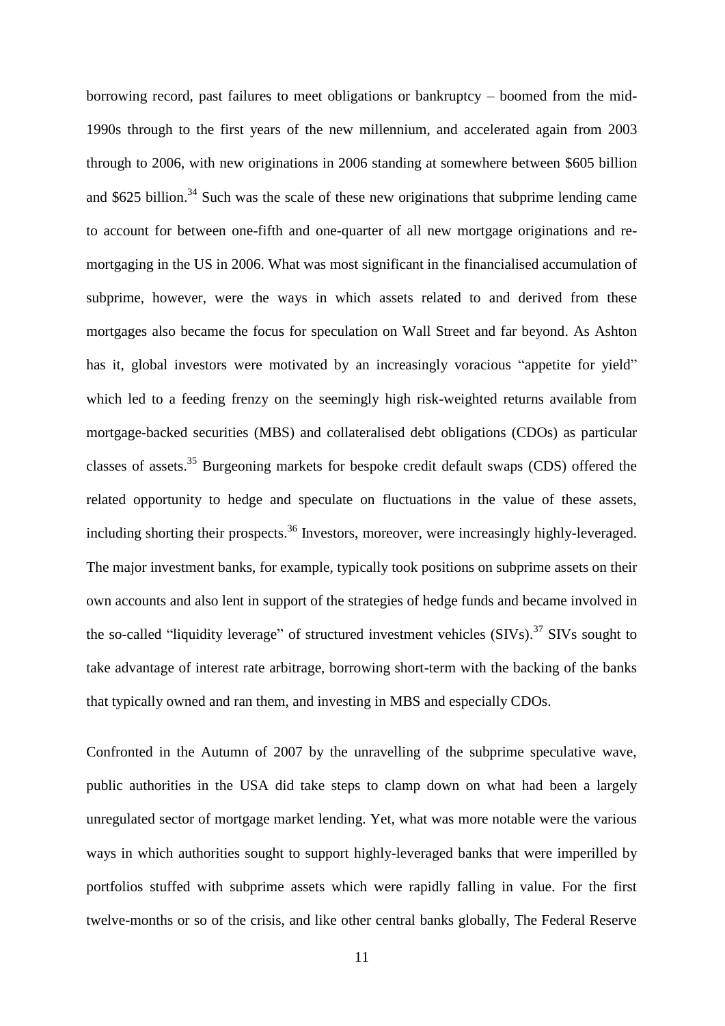borrowing record, past failures to meet obligations or bankruptcy – boomed from the mid-1990s through to the first years of the new millennium, and accelerated again from 2003 through to 2006, with new originations in 2006 standing at somewhere between \$605 billion and \$625 billion.<sup>34</sup> Such was the scale of these new originations that subprime lending came to account for between one-fifth and one-quarter of all new mortgage originations and remortgaging in the US in 2006. What was most significant in the financialised accumulation of subprime, however, were the ways in which assets related to and derived from these mortgages also became the focus for speculation on Wall Street and far beyond. As Ashton has it, global investors were motivated by an increasingly voracious "appetite for yield" which led to a feeding frenzy on the seemingly high risk-weighted returns available from mortgage-backed securities (MBS) and collateralised debt obligations (CDOs) as particular classes of assets.<sup>35</sup> Burgeoning markets for bespoke credit default swaps (CDS) offered the related opportunity to hedge and speculate on fluctuations in the value of these assets, including shorting their prospects.<sup>36</sup> Investors, moreover, were increasingly highly-leveraged. The major investment banks, for example, typically took positions on subprime assets on their own accounts and also lent in support of the strategies of hedge funds and became involved in the so-called "liquidity leverage" of structured investment vehicles  $(SIVs)$ .<sup>37</sup> SIVs sought to take advantage of interest rate arbitrage, borrowing short-term with the backing of the banks that typically owned and ran them, and investing in MBS and especially CDOs.

Confronted in the Autumn of 2007 by the unravelling of the subprime speculative wave, public authorities in the USA did take steps to clamp down on what had been a largely unregulated sector of mortgage market lending. Yet, what was more notable were the various ways in which authorities sought to support highly-leveraged banks that were imperilled by portfolios stuffed with subprime assets which were rapidly falling in value. For the first twelve-months or so of the crisis, and like other central banks globally, The Federal Reserve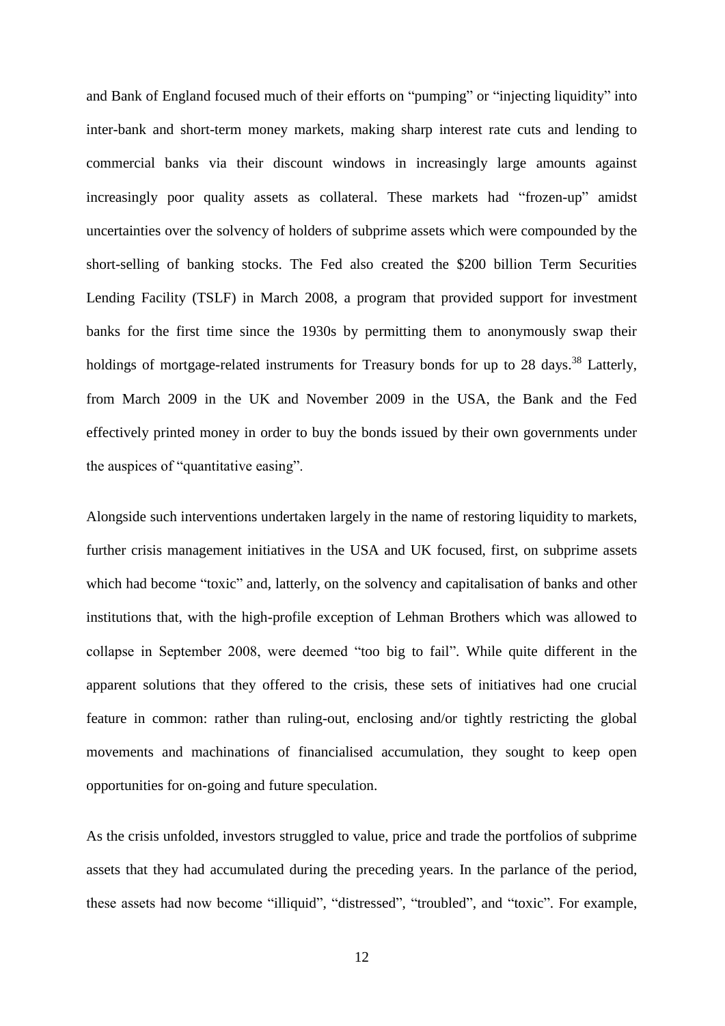and Bank of England focused much of their efforts on "pumping" or "injecting liquidity" into inter-bank and short-term money markets, making sharp interest rate cuts and lending to commercial banks via their discount windows in increasingly large amounts against increasingly poor quality assets as collateral. These markets had "frozen-up" amidst uncertainties over the solvency of holders of subprime assets which were compounded by the short-selling of banking stocks. The Fed also created the \$200 billion Term Securities Lending Facility (TSLF) in March 2008, a program that provided support for investment banks for the first time since the 1930s by permitting them to anonymously swap their holdings of mortgage-related instruments for Treasury bonds for up to 28 days.<sup>38</sup> Latterly, from March 2009 in the UK and November 2009 in the USA, the Bank and the Fed effectively printed money in order to buy the bonds issued by their own governments under the auspices of "quantitative easing".

Alongside such interventions undertaken largely in the name of restoring liquidity to markets, further crisis management initiatives in the USA and UK focused, first, on subprime assets which had become "toxic" and, latterly, on the solvency and capitalisation of banks and other institutions that, with the high-profile exception of Lehman Brothers which was allowed to collapse in September 2008, were deemed "too big to fail". While quite different in the apparent solutions that they offered to the crisis, these sets of initiatives had one crucial feature in common: rather than ruling-out, enclosing and/or tightly restricting the global movements and machinations of financialised accumulation, they sought to keep open opportunities for on-going and future speculation.

As the crisis unfolded, investors struggled to value, price and trade the portfolios of subprime assets that they had accumulated during the preceding years. In the parlance of the period, these assets had now become "illiquid", "distressed", "troubled", and "toxic". For example,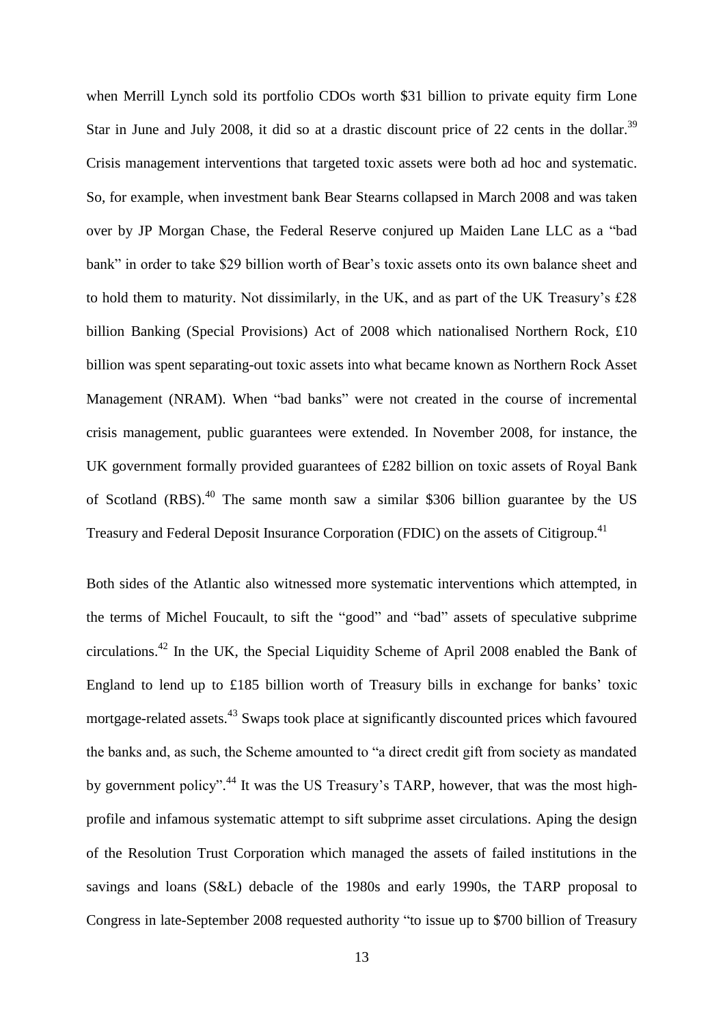when Merrill Lynch sold its portfolio CDOs worth \$31 billion to private equity firm Lone Star in June and July 2008, it did so at a drastic discount price of 22 cents in the dollar.<sup>39</sup> Crisis management interventions that targeted toxic assets were both ad hoc and systematic. So, for example, when investment bank Bear Stearns collapsed in March 2008 and was taken over by JP Morgan Chase, the Federal Reserve conjured up Maiden Lane LLC as a "bad bank" in order to take \$29 billion worth of Bear's toxic assets onto its own balance sheet and to hold them to maturity. Not dissimilarly, in the UK, and as part of the UK Treasury's £28 billion Banking (Special Provisions) Act of 2008 which nationalised Northern Rock, £10 billion was spent separating-out toxic assets into what became known as Northern Rock Asset Management (NRAM). When "bad banks" were not created in the course of incremental crisis management, public guarantees were extended. In November 2008, for instance, the UK government formally provided guarantees of £282 billion on toxic assets of Royal Bank of Scotland (RBS).<sup>40</sup> The same month saw a similar \$306 billion guarantee by the US Treasury and Federal Deposit Insurance Corporation (FDIC) on the assets of Citigroup.<sup>41</sup>

Both sides of the Atlantic also witnessed more systematic interventions which attempted, in the terms of Michel Foucault, to sift the "good" and "bad" assets of speculative subprime circulations.<sup>42</sup> In the UK, the Special Liquidity Scheme of April 2008 enabled the Bank of England to lend up to £185 billion worth of Treasury bills in exchange for banks' toxic mortgage-related assets.<sup>43</sup> Swaps took place at significantly discounted prices which favoured the banks and, as such, the Scheme amounted to "a direct credit gift from society as mandated by government policy".<sup>44</sup> It was the US Treasury's TARP, however, that was the most highprofile and infamous systematic attempt to sift subprime asset circulations. Aping the design of the Resolution Trust Corporation which managed the assets of failed institutions in the savings and loans (S&L) debacle of the 1980s and early 1990s, the TARP proposal to Congress in late-September 2008 requested authority "to issue up to \$700 billion of Treasury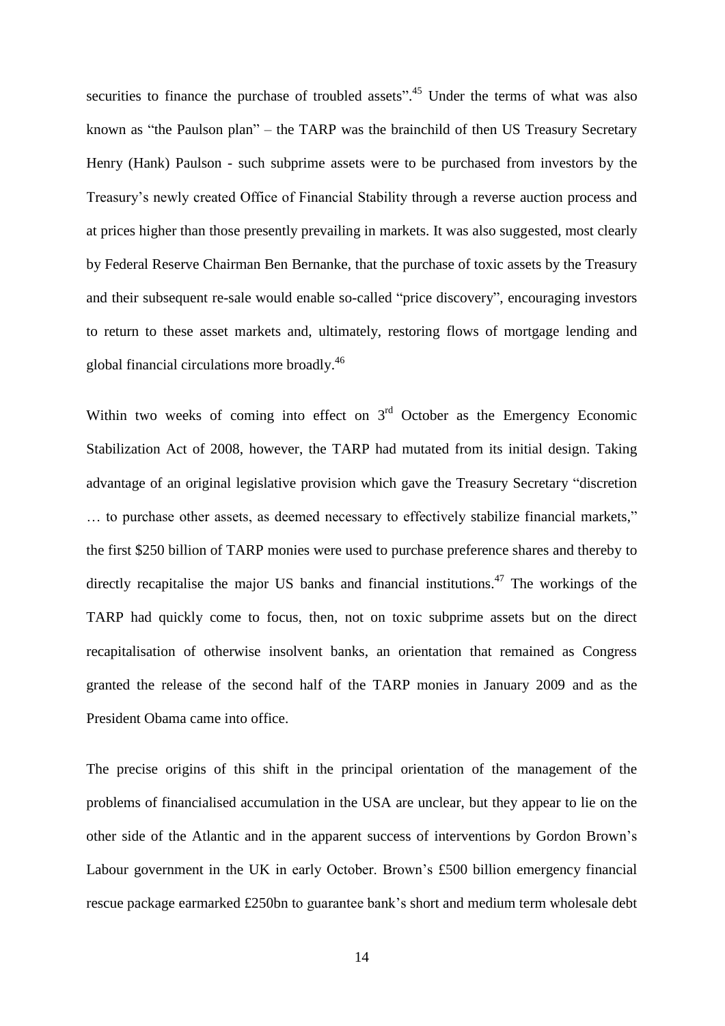securities to finance the purchase of troubled assets".<sup>45</sup> Under the terms of what was also known as "the Paulson plan" – the TARP was the brainchild of then US Treasury Secretary Henry (Hank) Paulson - such subprime assets were to be purchased from investors by the Treasury's newly created Office of Financial Stability through a reverse auction process and at prices higher than those presently prevailing in markets. It was also suggested, most clearly by Federal Reserve Chairman Ben Bernanke, that the purchase of toxic assets by the Treasury and their subsequent re-sale would enable so-called "price discovery", encouraging investors to return to these asset markets and, ultimately, restoring flows of mortgage lending and global financial circulations more broadly.<sup>46</sup>

Within two weeks of coming into effect on  $3<sup>rd</sup>$  October as the Emergency Economic Stabilization Act of 2008, however, the TARP had mutated from its initial design. Taking advantage of an original legislative provision which gave the Treasury Secretary "discretion … to purchase other assets, as deemed necessary to effectively stabilize financial markets," the first \$250 billion of TARP monies were used to purchase preference shares and thereby to directly recapitalise the major US banks and financial institutions.<sup>47</sup> The workings of the TARP had quickly come to focus, then, not on toxic subprime assets but on the direct recapitalisation of otherwise insolvent banks, an orientation that remained as Congress granted the release of the second half of the TARP monies in January 2009 and as the President Obama came into office.

The precise origins of this shift in the principal orientation of the management of the problems of financialised accumulation in the USA are unclear, but they appear to lie on the other side of the Atlantic and in the apparent success of interventions by Gordon Brown's Labour government in the UK in early October. Brown's £500 billion emergency financial rescue package earmarked £250bn to guarantee bank's short and medium term wholesale debt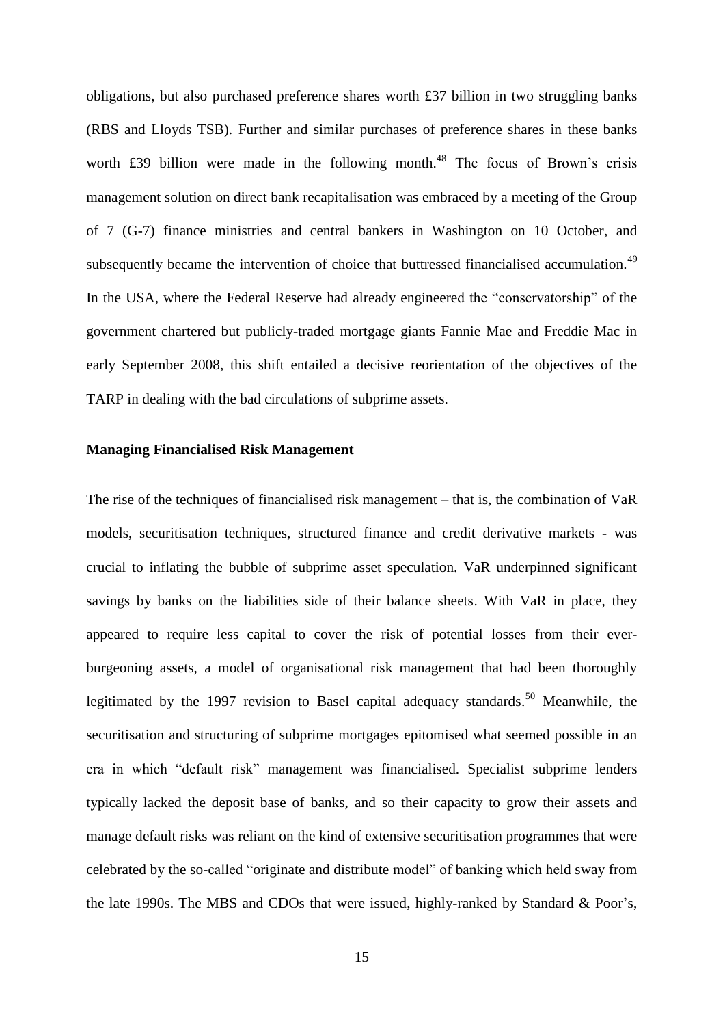obligations, but also purchased preference shares worth £37 billion in two struggling banks (RBS and Lloyds TSB). Further and similar purchases of preference shares in these banks worth £39 billion were made in the following month.<sup>48</sup> The focus of Brown's crisis management solution on direct bank recapitalisation was embraced by a meeting of the Group of 7 (G-7) finance ministries and central bankers in Washington on 10 October, and subsequently became the intervention of choice that buttressed financialised accumulation.<sup>49</sup> In the USA, where the Federal Reserve had already engineered the "conservatorship" of the government chartered but publicly-traded mortgage giants Fannie Mae and Freddie Mac in early September 2008, this shift entailed a decisive reorientation of the objectives of the TARP in dealing with the bad circulations of subprime assets.

### **Managing Financialised Risk Management**

The rise of the techniques of financialised risk management – that is, the combination of VaR models, securitisation techniques, structured finance and credit derivative markets - was crucial to inflating the bubble of subprime asset speculation. VaR underpinned significant savings by banks on the liabilities side of their balance sheets. With VaR in place, they appeared to require less capital to cover the risk of potential losses from their everburgeoning assets, a model of organisational risk management that had been thoroughly legitimated by the 1997 revision to Basel capital adequacy standards.<sup>50</sup> Meanwhile, the securitisation and structuring of subprime mortgages epitomised what seemed possible in an era in which "default risk" management was financialised. Specialist subprime lenders typically lacked the deposit base of banks, and so their capacity to grow their assets and manage default risks was reliant on the kind of extensive securitisation programmes that were celebrated by the so-called "originate and distribute model" of banking which held sway from the late 1990s. The MBS and CDOs that were issued, highly-ranked by Standard & Poor's,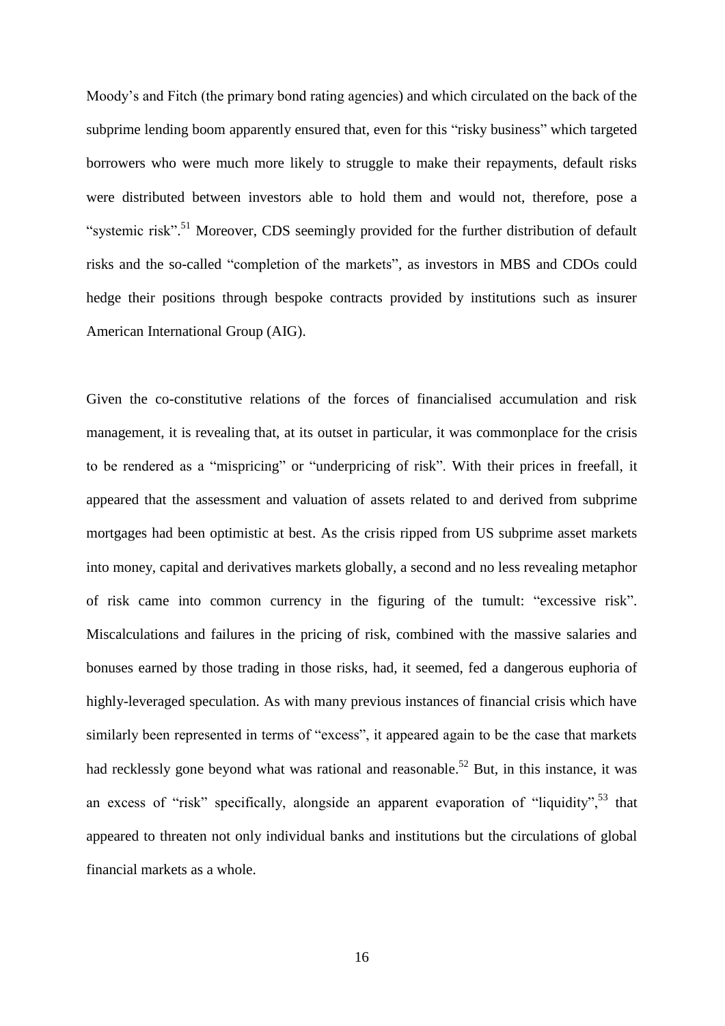Moody's and Fitch (the primary bond rating agencies) and which circulated on the back of the subprime lending boom apparently ensured that, even for this "risky business" which targeted borrowers who were much more likely to struggle to make their repayments, default risks were distributed between investors able to hold them and would not, therefore, pose a "systemic risk".<sup>51</sup> Moreover, CDS seemingly provided for the further distribution of default risks and the so-called "completion of the markets", as investors in MBS and CDOs could hedge their positions through bespoke contracts provided by institutions such as insurer American International Group (AIG).

Given the co-constitutive relations of the forces of financialised accumulation and risk management, it is revealing that, at its outset in particular, it was commonplace for the crisis to be rendered as a "mispricing" or "underpricing of risk". With their prices in freefall, it appeared that the assessment and valuation of assets related to and derived from subprime mortgages had been optimistic at best. As the crisis ripped from US subprime asset markets into money, capital and derivatives markets globally, a second and no less revealing metaphor of risk came into common currency in the figuring of the tumult: "excessive risk". Miscalculations and failures in the pricing of risk, combined with the massive salaries and bonuses earned by those trading in those risks, had, it seemed, fed a dangerous euphoria of highly-leveraged speculation. As with many previous instances of financial crisis which have similarly been represented in terms of "excess", it appeared again to be the case that markets had recklessly gone beyond what was rational and reasonable.<sup>52</sup> But, in this instance, it was an excess of "risk" specifically, alongside an apparent evaporation of "liquidity",  $53$  that appeared to threaten not only individual banks and institutions but the circulations of global financial markets as a whole.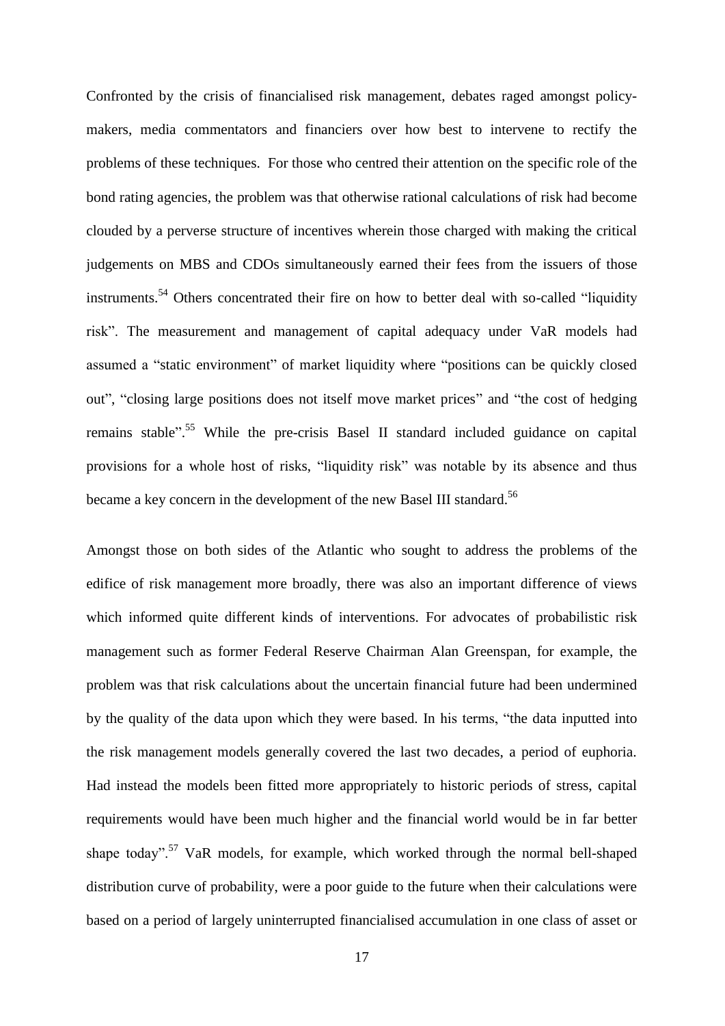Confronted by the crisis of financialised risk management, debates raged amongst policymakers, media commentators and financiers over how best to intervene to rectify the problems of these techniques. For those who centred their attention on the specific role of the bond rating agencies, the problem was that otherwise rational calculations of risk had become clouded by a perverse structure of incentives wherein those charged with making the critical judgements on MBS and CDOs simultaneously earned their fees from the issuers of those instruments.<sup>54</sup> Others concentrated their fire on how to better deal with so-called "liquidity risk". The measurement and management of capital adequacy under VaR models had assumed a "static environment" of market liquidity where "positions can be quickly closed out", "closing large positions does not itself move market prices" and "the cost of hedging remains stable".<sup>55</sup> While the pre-crisis Basel II standard included guidance on capital provisions for a whole host of risks, "liquidity risk" was notable by its absence and thus became a key concern in the development of the new Basel III standard.<sup>56</sup>

Amongst those on both sides of the Atlantic who sought to address the problems of the edifice of risk management more broadly, there was also an important difference of views which informed quite different kinds of interventions. For advocates of probabilistic risk management such as former Federal Reserve Chairman Alan Greenspan, for example, the problem was that risk calculations about the uncertain financial future had been undermined by the quality of the data upon which they were based. In his terms, "the data inputted into the risk management models generally covered the last two decades, a period of euphoria. Had instead the models been fitted more appropriately to historic periods of stress, capital requirements would have been much higher and the financial world would be in far better shape today".<sup>57</sup> VaR models, for example, which worked through the normal bell-shaped distribution curve of probability, were a poor guide to the future when their calculations were based on a period of largely uninterrupted financialised accumulation in one class of asset or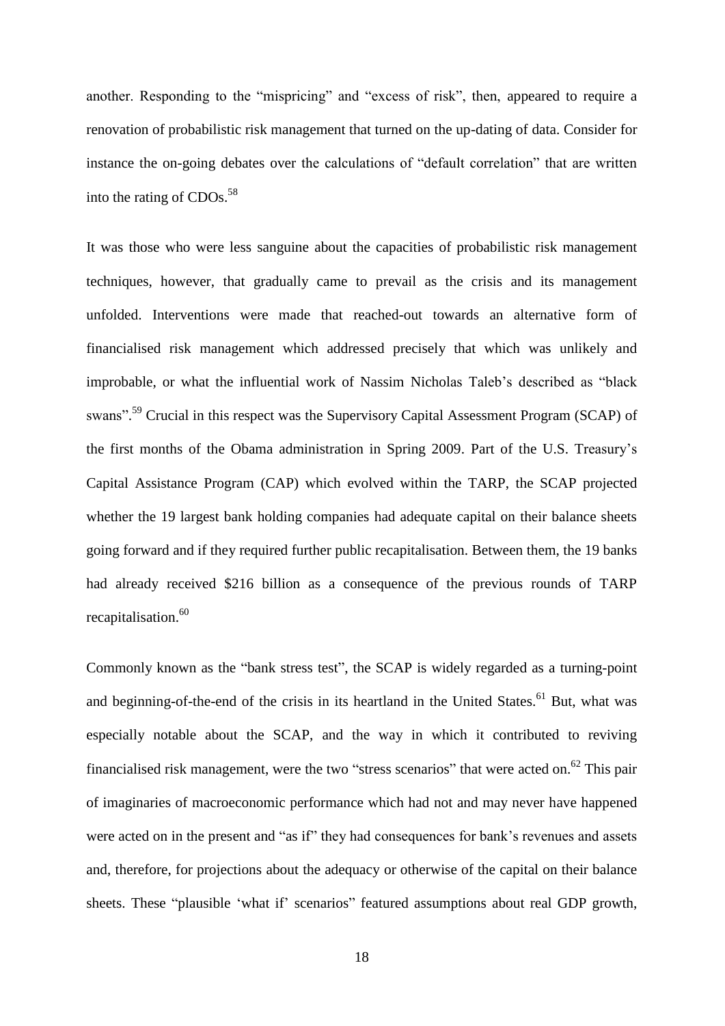another. Responding to the "mispricing" and "excess of risk", then, appeared to require a renovation of probabilistic risk management that turned on the up-dating of data. Consider for instance the on-going debates over the calculations of "default correlation" that are written into the rating of CDOs. 58

It was those who were less sanguine about the capacities of probabilistic risk management techniques, however, that gradually came to prevail as the crisis and its management unfolded. Interventions were made that reached-out towards an alternative form of financialised risk management which addressed precisely that which was unlikely and improbable, or what the influential work of Nassim Nicholas Taleb's described as "black swans".<sup>59</sup> Crucial in this respect was the Supervisory Capital Assessment Program (SCAP) of the first months of the Obama administration in Spring 2009. Part of the U.S. Treasury's Capital Assistance Program (CAP) which evolved within the TARP, the SCAP projected whether the 19 largest bank holding companies had adequate capital on their balance sheets going forward and if they required further public recapitalisation. Between them, the 19 banks had already received \$216 billion as a consequence of the previous rounds of TARP recapitalisation. 60

Commonly known as the "bank stress test", the SCAP is widely regarded as a turning-point and beginning-of-the-end of the crisis in its heartland in the United States.<sup>61</sup> But, what was especially notable about the SCAP, and the way in which it contributed to reviving financialised risk management, were the two "stress scenarios" that were acted on.<sup>62</sup> This pair of imaginaries of macroeconomic performance which had not and may never have happened were acted on in the present and "as if" they had consequences for bank's revenues and assets and, therefore, for projections about the adequacy or otherwise of the capital on their balance sheets. These "plausible 'what if' scenarios" featured assumptions about real GDP growth,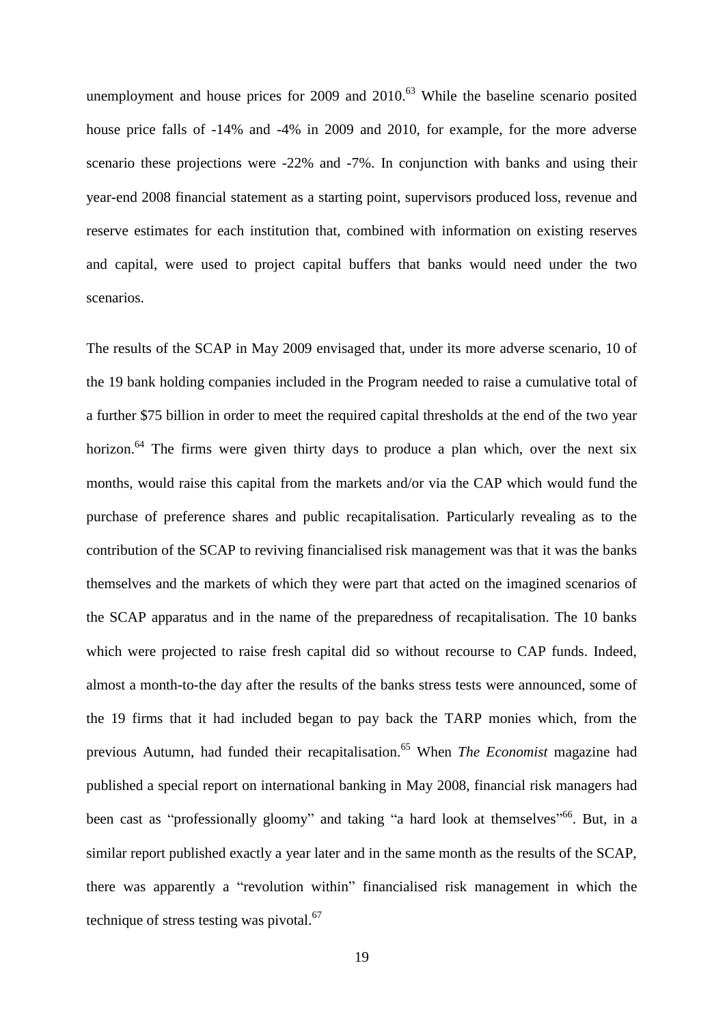unemployment and house prices for 2009 and 2010.<sup>63</sup> While the baseline scenario posited house price falls of -14% and -4% in 2009 and 2010, for example, for the more adverse scenario these projections were -22% and -7%. In conjunction with banks and using their year-end 2008 financial statement as a starting point, supervisors produced loss, revenue and reserve estimates for each institution that, combined with information on existing reserves and capital, were used to project capital buffers that banks would need under the two scenarios.

The results of the SCAP in May 2009 envisaged that, under its more adverse scenario, 10 of the 19 bank holding companies included in the Program needed to raise a cumulative total of a further \$75 billion in order to meet the required capital thresholds at the end of the two year horizon.<sup>64</sup> The firms were given thirty days to produce a plan which, over the next six months, would raise this capital from the markets and/or via the CAP which would fund the purchase of preference shares and public recapitalisation. Particularly revealing as to the contribution of the SCAP to reviving financialised risk management was that it was the banks themselves and the markets of which they were part that acted on the imagined scenarios of the SCAP apparatus and in the name of the preparedness of recapitalisation. The 10 banks which were projected to raise fresh capital did so without recourse to CAP funds. Indeed, almost a month-to-the day after the results of the banks stress tests were announced, some of the 19 firms that it had included began to pay back the TARP monies which, from the previous Autumn, had funded their recapitalisation. <sup>65</sup> When *The Economist* magazine had published a special report on international banking in May 2008, financial risk managers had been cast as "professionally gloomy" and taking "a hard look at themselves"<sup>66</sup>. But, in a similar report published exactly a year later and in the same month as the results of the SCAP, there was apparently a "revolution within" financialised risk management in which the technique of stress testing was pivotal. $67$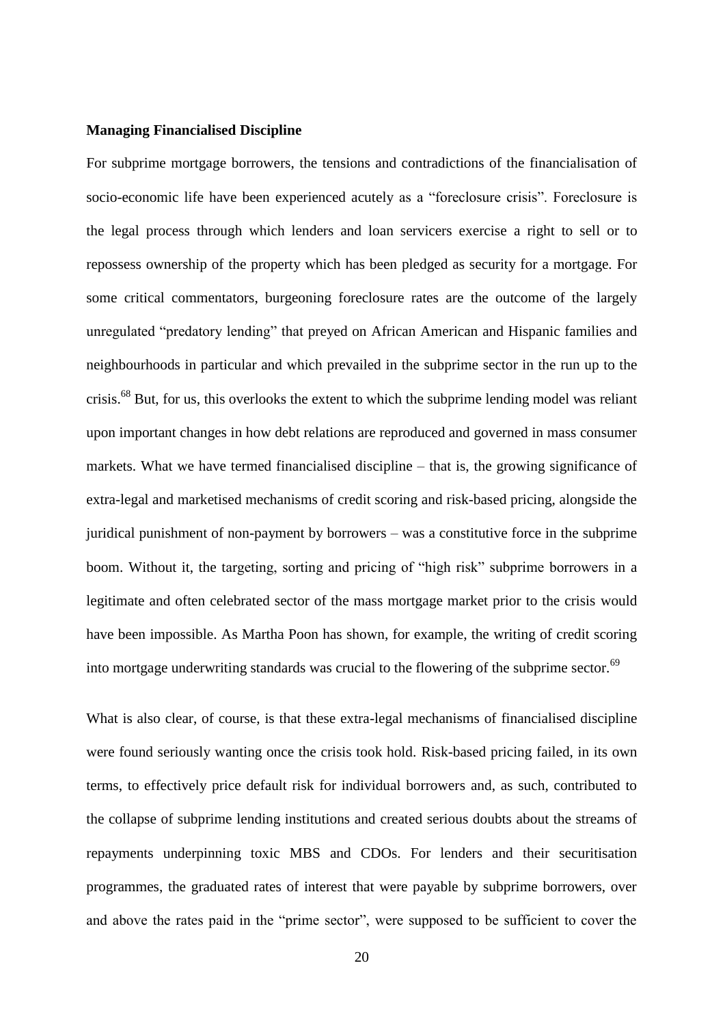#### **Managing Financialised Discipline**

For subprime mortgage borrowers, the tensions and contradictions of the financialisation of socio-economic life have been experienced acutely as a "foreclosure crisis". Foreclosure is the legal process through which lenders and loan servicers exercise a right to sell or to repossess ownership of the property which has been pledged as security for a mortgage. For some critical commentators, burgeoning foreclosure rates are the outcome of the largely unregulated "predatory lending" that preyed on African American and Hispanic families and neighbourhoods in particular and which prevailed in the subprime sector in the run up to the crisis.<sup>68</sup> But, for us, this overlooks the extent to which the subprime lending model was reliant upon important changes in how debt relations are reproduced and governed in mass consumer markets. What we have termed financialised discipline – that is, the growing significance of extra-legal and marketised mechanisms of credit scoring and risk-based pricing, alongside the juridical punishment of non-payment by borrowers – was a constitutive force in the subprime boom. Without it, the targeting, sorting and pricing of "high risk" subprime borrowers in a legitimate and often celebrated sector of the mass mortgage market prior to the crisis would have been impossible. As Martha Poon has shown, for example, the writing of credit scoring into mortgage underwriting standards was crucial to the flowering of the subprime sector.<sup>69</sup>

What is also clear, of course, is that these extra-legal mechanisms of financialised discipline were found seriously wanting once the crisis took hold. Risk-based pricing failed, in its own terms, to effectively price default risk for individual borrowers and, as such, contributed to the collapse of subprime lending institutions and created serious doubts about the streams of repayments underpinning toxic MBS and CDOs. For lenders and their securitisation programmes, the graduated rates of interest that were payable by subprime borrowers, over and above the rates paid in the "prime sector", were supposed to be sufficient to cover the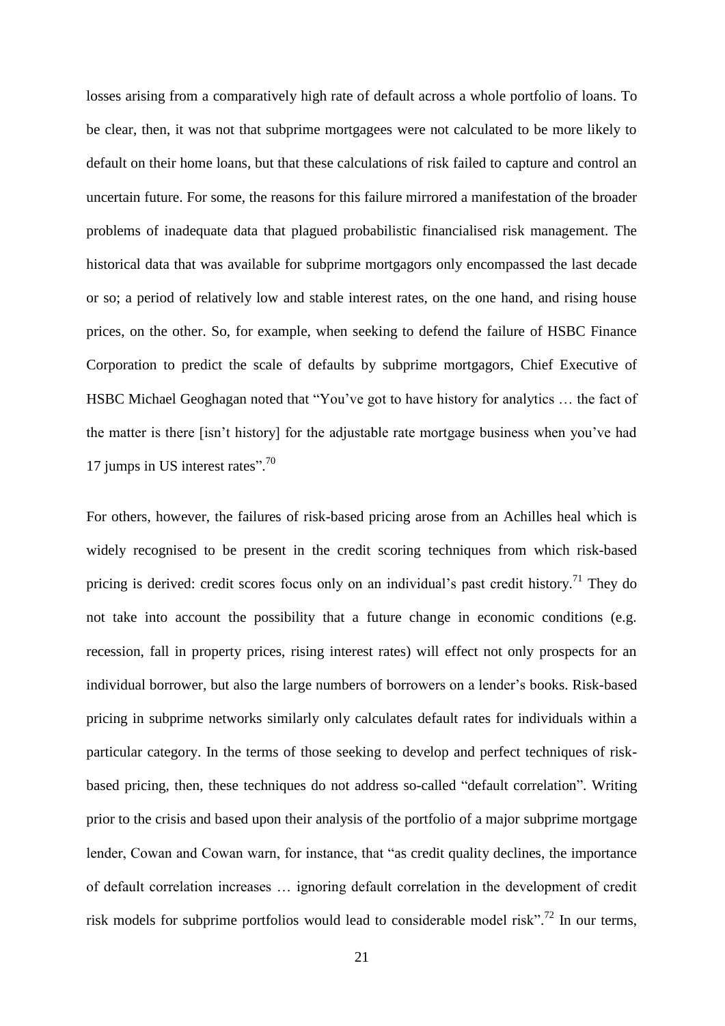losses arising from a comparatively high rate of default across a whole portfolio of loans. To be clear, then, it was not that subprime mortgagees were not calculated to be more likely to default on their home loans, but that these calculations of risk failed to capture and control an uncertain future. For some, the reasons for this failure mirrored a manifestation of the broader problems of inadequate data that plagued probabilistic financialised risk management. The historical data that was available for subprime mortgagors only encompassed the last decade or so; a period of relatively low and stable interest rates, on the one hand, and rising house prices, on the other. So, for example, when seeking to defend the failure of HSBC Finance Corporation to predict the scale of defaults by subprime mortgagors, Chief Executive of HSBC Michael Geoghagan noted that "You've got to have history for analytics … the fact of the matter is there [isn't history] for the adjustable rate mortgage business when you've had 17 jumps in US interest rates". 70

For others, however, the failures of risk-based pricing arose from an Achilles heal which is widely recognised to be present in the credit scoring techniques from which risk-based pricing is derived: credit scores focus only on an individual's past credit history.<sup>71</sup> They do not take into account the possibility that a future change in economic conditions (e.g. recession, fall in property prices, rising interest rates) will effect not only prospects for an individual borrower, but also the large numbers of borrowers on a lender's books. Risk-based pricing in subprime networks similarly only calculates default rates for individuals within a particular category. In the terms of those seeking to develop and perfect techniques of riskbased pricing, then, these techniques do not address so-called "default correlation". Writing prior to the crisis and based upon their analysis of the portfolio of a major subprime mortgage lender, Cowan and Cowan warn, for instance, that "as credit quality declines, the importance of default correlation increases … ignoring default correlation in the development of credit risk models for subprime portfolios would lead to considerable model risk".<sup>72</sup> In our terms,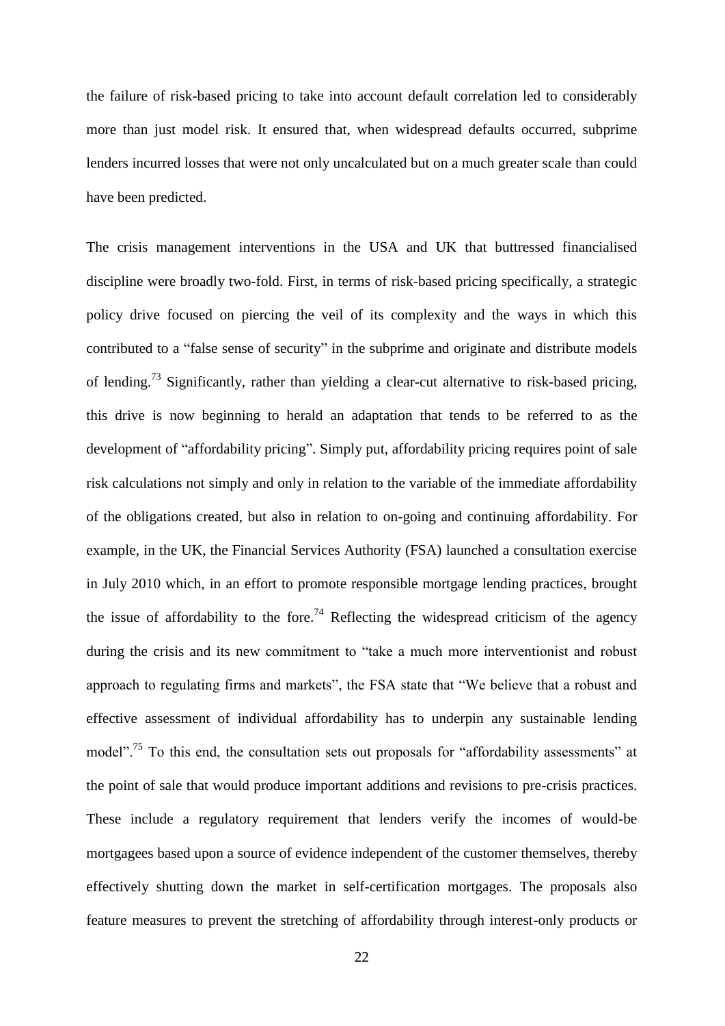the failure of risk-based pricing to take into account default correlation led to considerably more than just model risk. It ensured that, when widespread defaults occurred, subprime lenders incurred losses that were not only uncalculated but on a much greater scale than could have been predicted.

The crisis management interventions in the USA and UK that buttressed financialised discipline were broadly two-fold. First, in terms of risk-based pricing specifically, a strategic policy drive focused on piercing the veil of its complexity and the ways in which this contributed to a "false sense of security" in the subprime and originate and distribute models of lending.<sup>73</sup> Significantly, rather than yielding a clear-cut alternative to risk-based pricing, this drive is now beginning to herald an adaptation that tends to be referred to as the development of "affordability pricing". Simply put, affordability pricing requires point of sale risk calculations not simply and only in relation to the variable of the immediate affordability of the obligations created, but also in relation to on-going and continuing affordability. For example, in the UK, the Financial Services Authority (FSA) launched a consultation exercise in July 2010 which, in an effort to promote responsible mortgage lending practices, brought the issue of affordability to the fore.<sup>74</sup> Reflecting the widespread criticism of the agency during the crisis and its new commitment to "take a much more interventionist and robust approach to regulating firms and markets", the FSA state that "We believe that a robust and effective assessment of individual affordability has to underpin any sustainable lending model".<sup>75</sup> To this end, the consultation sets out proposals for "affordability assessments" at the point of sale that would produce important additions and revisions to pre-crisis practices. These include a regulatory requirement that lenders verify the incomes of would-be mortgagees based upon a source of evidence independent of the customer themselves, thereby effectively shutting down the market in self-certification mortgages. The proposals also feature measures to prevent the stretching of affordability through interest-only products or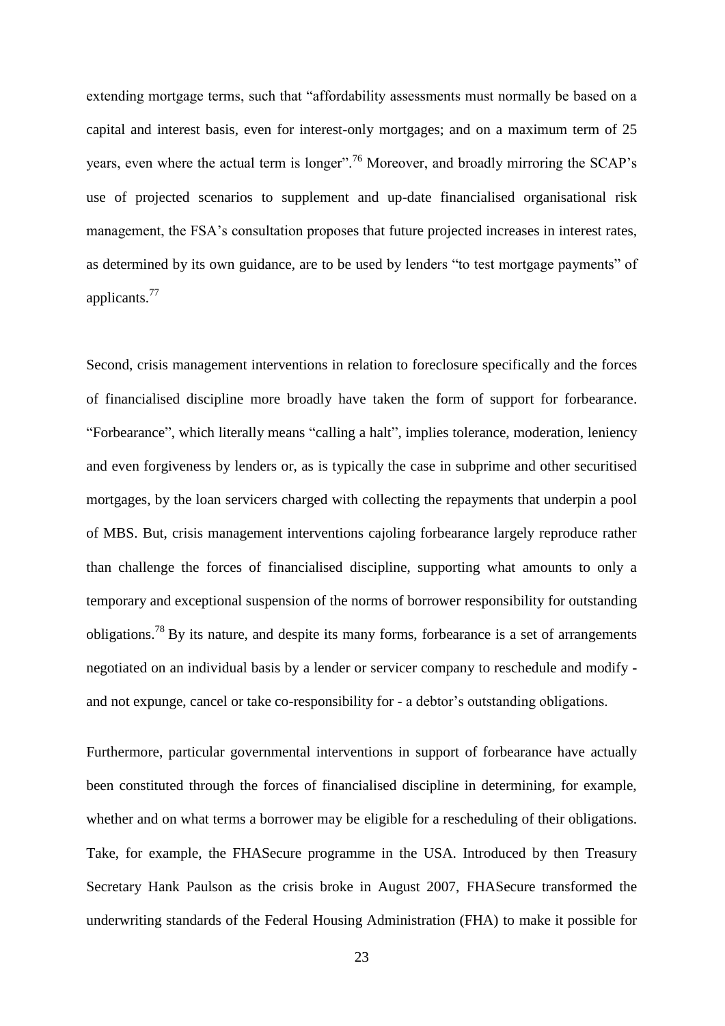extending mortgage terms, such that "affordability assessments must normally be based on a capital and interest basis, even for interest-only mortgages; and on a maximum term of 25 years, even where the actual term is longer".<sup>76</sup> Moreover, and broadly mirroring the SCAP's use of projected scenarios to supplement and up-date financialised organisational risk management, the FSA's consultation proposes that future projected increases in interest rates, as determined by its own guidance, are to be used by lenders "to test mortgage payments" of applicants.<sup>77</sup>

Second, crisis management interventions in relation to foreclosure specifically and the forces of financialised discipline more broadly have taken the form of support for forbearance. "Forbearance", which literally means "calling a halt", implies tolerance, moderation, leniency and even forgiveness by lenders or, as is typically the case in subprime and other securitised mortgages, by the loan servicers charged with collecting the repayments that underpin a pool of MBS. But, crisis management interventions cajoling forbearance largely reproduce rather than challenge the forces of financialised discipline, supporting what amounts to only a temporary and exceptional suspension of the norms of borrower responsibility for outstanding obligations.<sup>78</sup> By its nature, and despite its many forms, forbearance is a set of arrangements negotiated on an individual basis by a lender or servicer company to reschedule and modify and not expunge, cancel or take co-responsibility for - a debtor's outstanding obligations.

Furthermore, particular governmental interventions in support of forbearance have actually been constituted through the forces of financialised discipline in determining, for example, whether and on what terms a borrower may be eligible for a rescheduling of their obligations. Take, for example, the FHASecure programme in the USA. Introduced by then Treasury Secretary Hank Paulson as the crisis broke in August 2007, FHASecure transformed the underwriting standards of the Federal Housing Administration (FHA) to make it possible for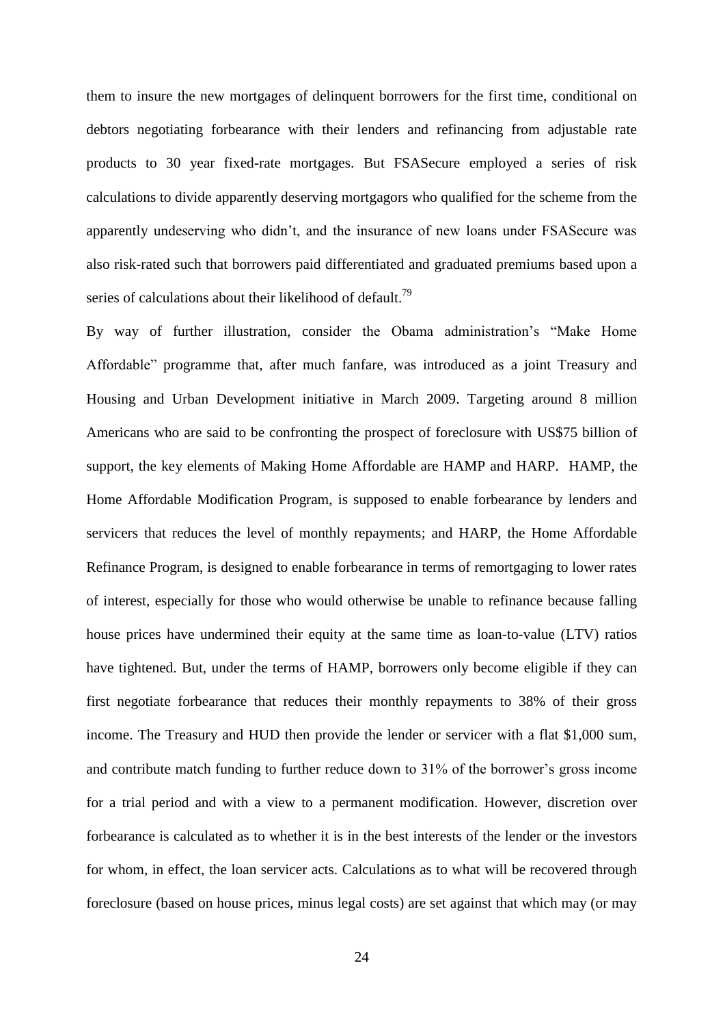them to insure the new mortgages of delinquent borrowers for the first time, conditional on debtors negotiating forbearance with their lenders and refinancing from adjustable rate products to 30 year fixed-rate mortgages. But FSASecure employed a series of risk calculations to divide apparently deserving mortgagors who qualified for the scheme from the apparently undeserving who didn't, and the insurance of new loans under FSASecure was also risk-rated such that borrowers paid differentiated and graduated premiums based upon a series of calculations about their likelihood of default.<sup>79</sup>

By way of further illustration, consider the Obama administration's "Make Home Affordable" programme that, after much fanfare, was introduced as a joint Treasury and Housing and Urban Development initiative in March 2009. Targeting around 8 million Americans who are said to be confronting the prospect of foreclosure with US\$75 billion of support, the key elements of Making Home Affordable are HAMP and HARP. HAMP, the Home Affordable Modification Program, is supposed to enable forbearance by lenders and servicers that reduces the level of monthly repayments; and HARP, the Home Affordable Refinance Program, is designed to enable forbearance in terms of remortgaging to lower rates of interest, especially for those who would otherwise be unable to refinance because falling house prices have undermined their equity at the same time as loan-to-value (LTV) ratios have tightened. But, under the terms of HAMP, borrowers only become eligible if they can first negotiate forbearance that reduces their monthly repayments to 38% of their gross income. The Treasury and HUD then provide the lender or servicer with a flat \$1,000 sum, and contribute match funding to further reduce down to 31% of the borrower's gross income for a trial period and with a view to a permanent modification. However, discretion over forbearance is calculated as to whether it is in the best interests of the lender or the investors for whom, in effect, the loan servicer acts. Calculations as to what will be recovered through foreclosure (based on house prices, minus legal costs) are set against that which may (or may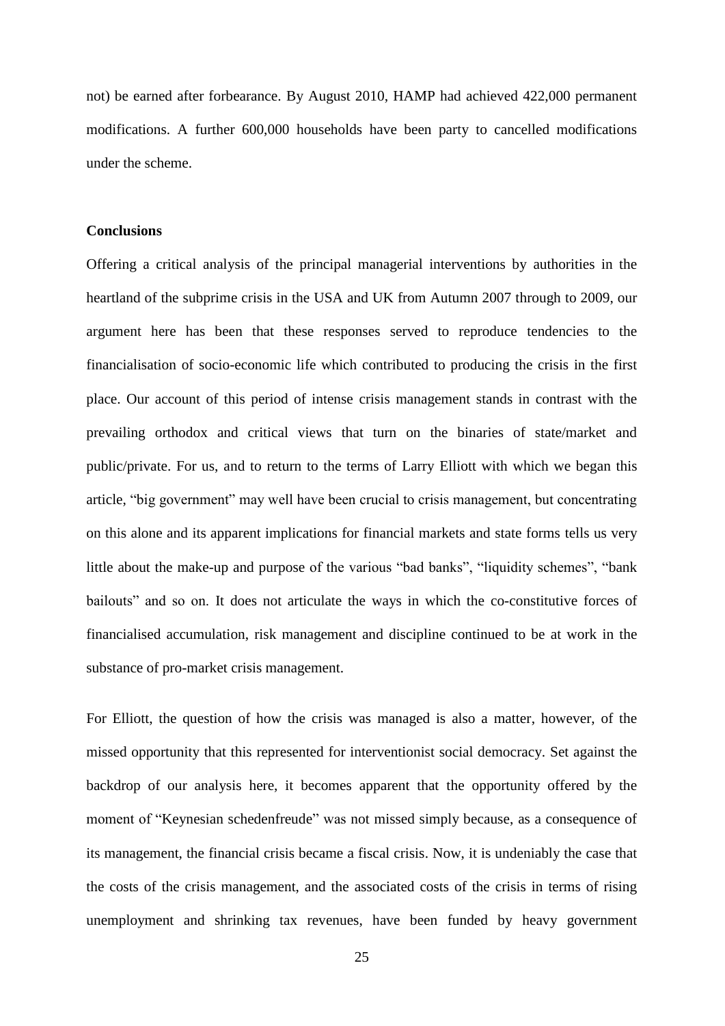not) be earned after forbearance. By August 2010, HAMP had achieved 422,000 permanent modifications. A further 600,000 households have been party to cancelled modifications under the scheme.

### **Conclusions**

Offering a critical analysis of the principal managerial interventions by authorities in the heartland of the subprime crisis in the USA and UK from Autumn 2007 through to 2009, our argument here has been that these responses served to reproduce tendencies to the financialisation of socio-economic life which contributed to producing the crisis in the first place. Our account of this period of intense crisis management stands in contrast with the prevailing orthodox and critical views that turn on the binaries of state/market and public/private. For us, and to return to the terms of Larry Elliott with which we began this article, "big government" may well have been crucial to crisis management, but concentrating on this alone and its apparent implications for financial markets and state forms tells us very little about the make-up and purpose of the various "bad banks", "liquidity schemes", "bank bailouts" and so on. It does not articulate the ways in which the co-constitutive forces of financialised accumulation, risk management and discipline continued to be at work in the substance of pro-market crisis management.

For Elliott, the question of how the crisis was managed is also a matter, however, of the missed opportunity that this represented for interventionist social democracy. Set against the backdrop of our analysis here, it becomes apparent that the opportunity offered by the moment of "Keynesian schedenfreude" was not missed simply because, as a consequence of its management, the financial crisis became a fiscal crisis. Now, it is undeniably the case that the costs of the crisis management, and the associated costs of the crisis in terms of rising unemployment and shrinking tax revenues, have been funded by heavy government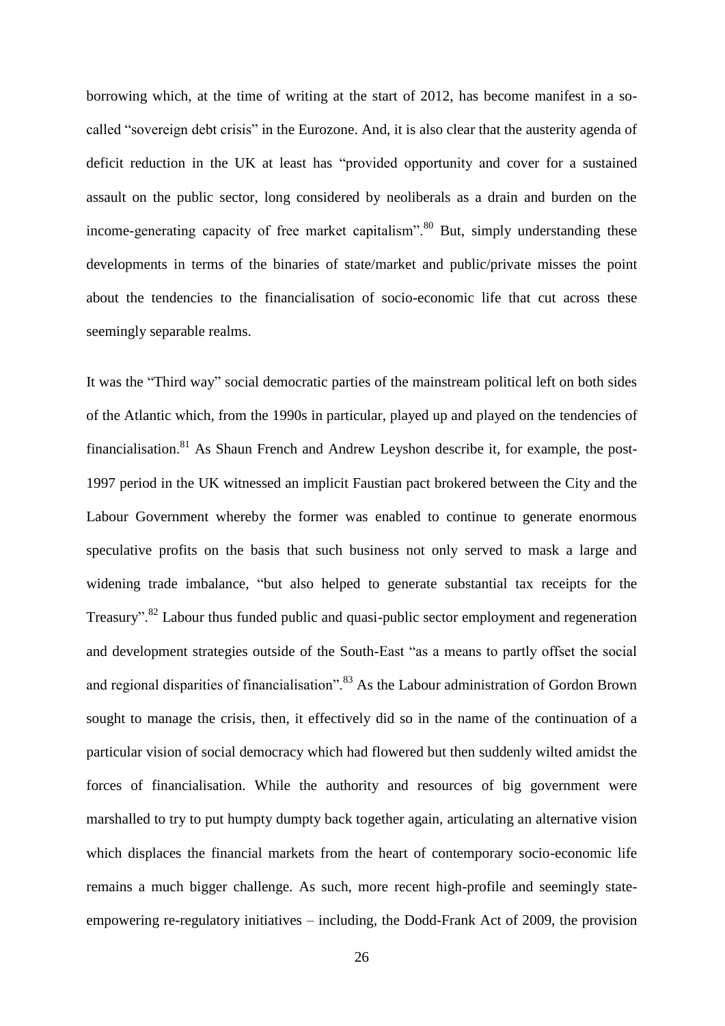borrowing which, at the time of writing at the start of 2012, has become manifest in a socalled "sovereign debt crisis" in the Eurozone. And, it is also clear that the austerity agenda of deficit reduction in the UK at least has "provided opportunity and cover for a sustained assault on the public sector, long considered by neoliberals as a drain and burden on the income-generating capacity of free market capitalism".<sup>80</sup> But, simply understanding these developments in terms of the binaries of state/market and public/private misses the point about the tendencies to the financialisation of socio-economic life that cut across these seemingly separable realms.

It was the "Third way" social democratic parties of the mainstream political left on both sides of the Atlantic which, from the 1990s in particular, played up and played on the tendencies of financialisation.<sup>81</sup> As Shaun French and Andrew Leyshon describe it, for example, the post-1997 period in the UK witnessed an implicit Faustian pact brokered between the City and the Labour Government whereby the former was enabled to continue to generate enormous speculative profits on the basis that such business not only served to mask a large and widening trade imbalance, "but also helped to generate substantial tax receipts for the Treasury".<sup>82</sup> Labour thus funded public and quasi-public sector employment and regeneration and development strategies outside of the South-East "as a means to partly offset the social and regional disparities of financialisation".<sup>83</sup> As the Labour administration of Gordon Brown sought to manage the crisis, then, it effectively did so in the name of the continuation of a particular vision of social democracy which had flowered but then suddenly wilted amidst the forces of financialisation. While the authority and resources of big government were marshalled to try to put humpty dumpty back together again, articulating an alternative vision which displaces the financial markets from the heart of contemporary socio-economic life remains a much bigger challenge. As such, more recent high-profile and seemingly stateempowering re-regulatory initiatives – including, the Dodd-Frank Act of 2009, the provision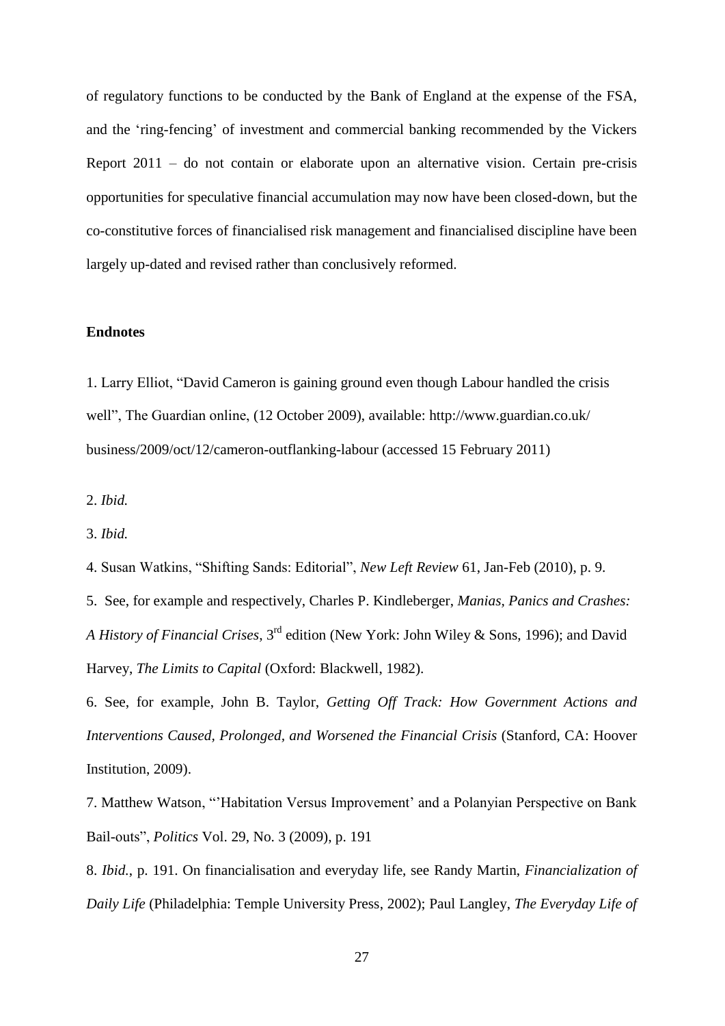of regulatory functions to be conducted by the Bank of England at the expense of the FSA, and the 'ring-fencing' of investment and commercial banking recommended by the Vickers Report 2011 – do not contain or elaborate upon an alternative vision. Certain pre-crisis opportunities for speculative financial accumulation may now have been closed-down, but the co-constitutive forces of financialised risk management and financialised discipline have been largely up-dated and revised rather than conclusively reformed.

### **Endnotes**

1. Larry Elliot, "David Cameron is gaining ground even though Labour handled the crisis well", The Guardian online, (12 October 2009), available: [http://www.guardian.co.uk/](http://www.guardian.co.uk/%20business/2009/oct/12/cameron-outflanking-labour)  [business/2009/oct/12/cameron-outflanking-labour](http://www.guardian.co.uk/%20business/2009/oct/12/cameron-outflanking-labour) (accessed 15 February 2011)

2. *Ibid.*

3. *Ibid.*

4. Susan Watkins, "Shifting Sands: Editorial", *New Left Review* 61, Jan-Feb (2010), p. 9.

5. See, for example and respectively, Charles P. Kindleberger, *Manias, Panics and Crashes:*  A *History of Financial Crises*, 3<sup>rd</sup> edition (New York: John Wiley & Sons, 1996); and David Harvey, *The Limits to Capital* (Oxford: Blackwell, 1982).

6. See, for example, John B. Taylor, *Getting Off Track: How Government Actions and Interventions Caused, Prolonged, and Worsened the Financial Crisis* (Stanford, CA: Hoover Institution, 2009).

7. Matthew Watson, "'Habitation Versus Improvement' and a Polanyian Perspective on Bank Bail-outs", *Politics* Vol. 29, No. 3 (2009), p. 191

8. *Ibid.*, p. 191. On financialisation and everyday life, see Randy Martin, *Financialization of Daily Life* (Philadelphia: Temple University Press, 2002); Paul Langley, *The Everyday Life of*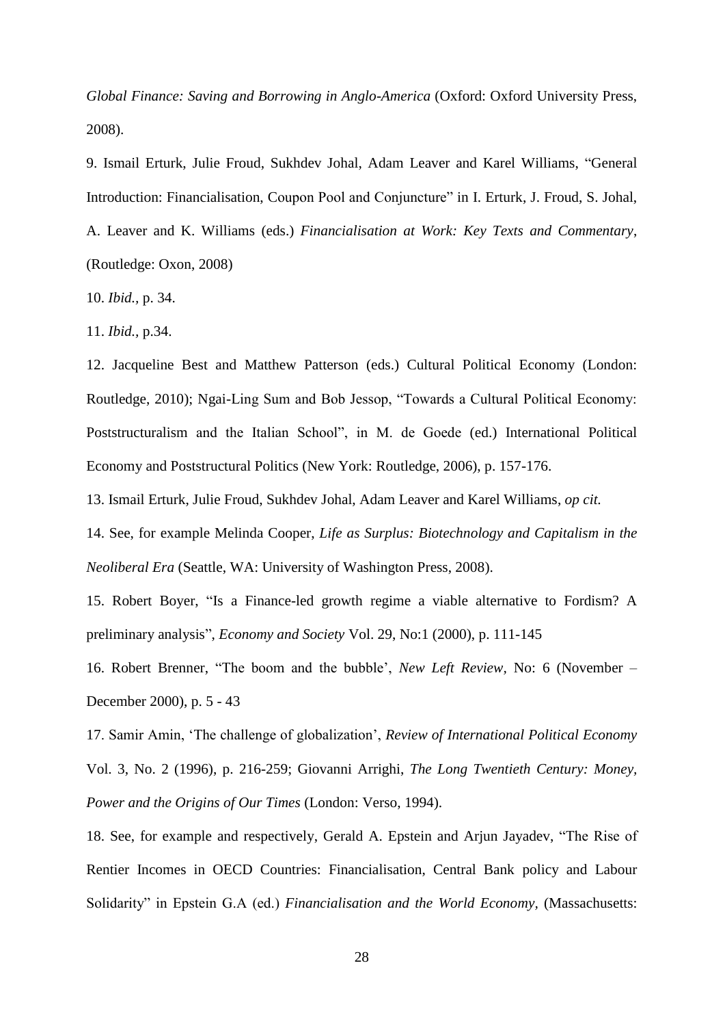*Global Finance: Saving and Borrowing in Anglo-America* (Oxford: Oxford University Press, 2008).

9. Ismail Erturk, Julie Froud, Sukhdev Johal, Adam Leaver and Karel Williams, "General Introduction: Financialisation, Coupon Pool and Conjuncture" in I. Erturk, J. Froud, S. Johal, A. Leaver and K. Williams (eds.) *Financialisation at Work: Key Texts and Commentary*, (Routledge: Oxon, 2008)

10. *Ibid.,* p. 34.

11. *Ibid.,* p.34.

12. Jacqueline Best and Matthew Patterson (eds.) Cultural Political Economy (London: Routledge, 2010); Ngai-Ling Sum and Bob Jessop, "Towards a Cultural Political Economy: Poststructuralism and the Italian School", in M. de Goede (ed.) International Political Economy and Poststructural Politics (New York: Routledge, 2006), p. 157-176.

13. Ismail Erturk, Julie Froud, Sukhdev Johal, Adam Leaver and Karel Williams, *op cit.*

14. See, for example Melinda Cooper, *Life as Surplus: Biotechnology and Capitalism in the Neoliberal Era* (Seattle, WA: University of Washington Press, 2008).

15. Robert Boyer, "Is a Finance-led growth regime a viable alternative to Fordism? A preliminary analysis", *Economy and Society* Vol. 29, No:1 (2000), p. 111-145

16. Robert Brenner, "The boom and the bubble', *New Left Review,* No: 6 (November – December 2000), p. 5 - 43

17. Samir Amin, 'The challenge of globalization', *Review of International Political Economy* Vol. 3, No. 2 (1996), p. 216-259; Giovanni Arrighi, *The Long Twentieth Century: Money, Power and the Origins of Our Times* (London: Verso, 1994).

18. See, for example and respectively, Gerald A. Epstein and Arjun Jayadev, "The Rise of Rentier Incomes in OECD Countries: Financialisation, Central Bank policy and Labour Solidarity" in Epstein G.A (ed.) *Financialisation and the World Economy,* (Massachusetts: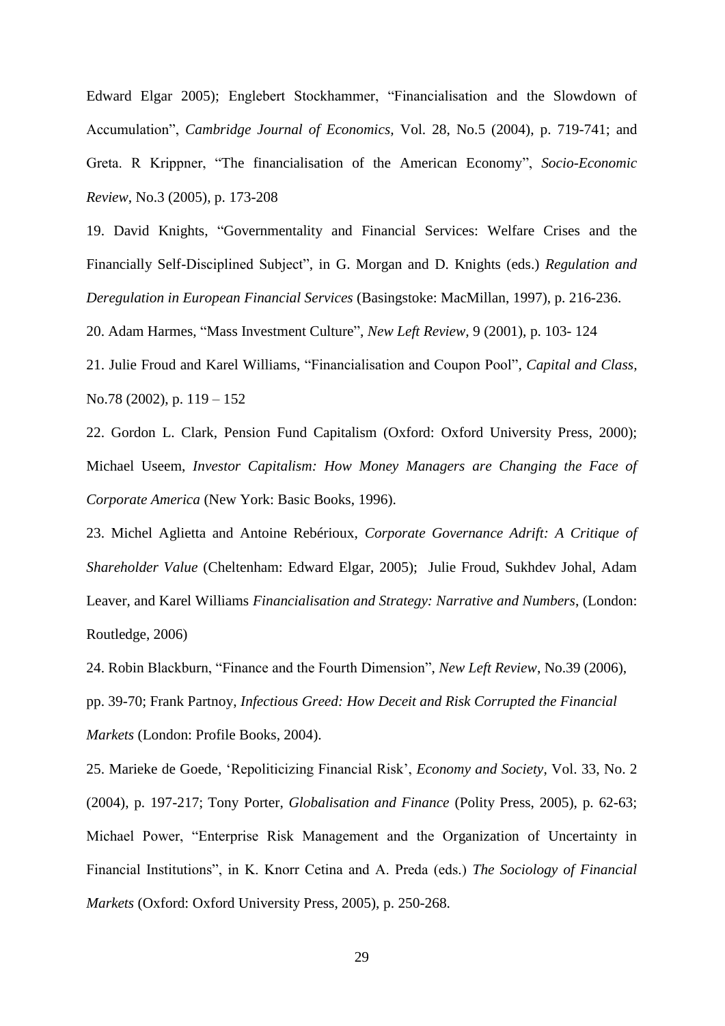Edward Elgar 2005); Englebert Stockhammer, "Financialisation and the Slowdown of Accumulation", *Cambridge Journal of Economics,* Vol. 28, No.5 (2004), p. 719-741; and Greta. R Krippner, "The financialisation of the American Economy", *Socio-Economic Review*, No.3 (2005), p. 173-208

19. David Knights, "Governmentality and Financial Services: Welfare Crises and the Financially Self-Disciplined Subject", in G. Morgan and D. Knights (eds.) *Regulation and Deregulation in European Financial Services* (Basingstoke: MacMillan, 1997), p. 216-236.

20. Adam Harmes, "Mass Investment Culture", *New Left Review,* 9 (2001), p. 103- 124

21. Julie Froud and Karel Williams, "Financialisation and Coupon Pool", *Capital and Class,*  No.78 (2002), p. 119 – 152

22. Gordon L. Clark, Pension Fund Capitalism (Oxford: Oxford University Press, 2000); Michael Useem, *Investor Capitalism: How Money Managers are Changing the Face of Corporate America* (New York: Basic Books, 1996).

23. Michel Aglietta and Antoine Rebérioux, *Corporate Governance Adrift: A Critique of Shareholder Value* (Cheltenham: Edward Elgar, 2005); Julie Froud, Sukhdev Johal, Adam Leaver, and Karel Williams *Financialisation and Strategy: Narrative and Numbers*, (London: Routledge, 2006)

24. Robin Blackburn, "Finance and the Fourth Dimension", *New Left Review*, No.39 (2006), pp. 39-70; Frank Partnoy, *Infectious Greed: How Deceit and Risk Corrupted the Financial Markets* (London: Profile Books, 2004).

25. Marieke de Goede, 'Repoliticizing Financial Risk', *Economy and Society*, Vol. 33, No. 2 (2004), p. 197-217; Tony Porter, *Globalisation and Finance* (Polity Press, 2005), p. 62-63; Michael Power, "Enterprise Risk Management and the Organization of Uncertainty in Financial Institutions", in K. Knorr Cetina and A. Preda (eds.) *The Sociology of Financial Markets* (Oxford: Oxford University Press, 2005), p. 250-268.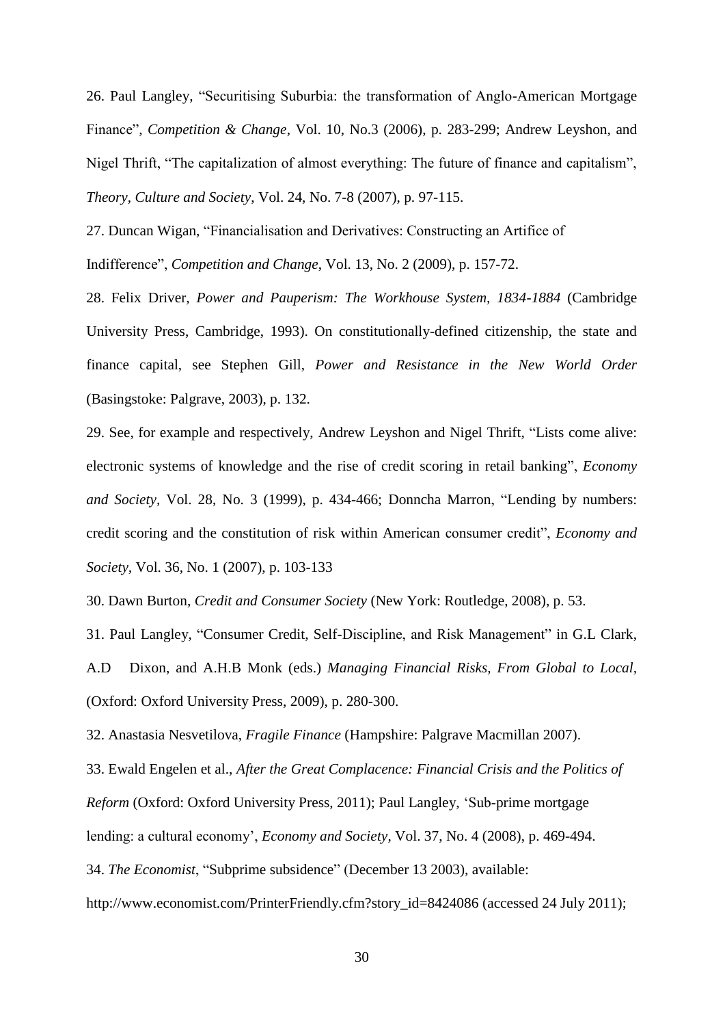26. Paul Langley, "Securitising Suburbia: the transformation of Anglo-American Mortgage Finance", *Competition & Change*, Vol. 10, No.3 (2006), p. 283-299; Andrew Leyshon, and Nigel Thrift, "The capitalization of almost everything: The future of finance and capitalism", *Theory, Culture and Society*, Vol. 24, No. 7-8 (2007), p. 97-115.

27. Duncan Wigan, "Financialisation and Derivatives: Constructing an Artifice of

Indifference", *Competition and Change*, Vol. 13, No. 2 (2009), p. 157-72.

28. Felix Driver, *Power and Pauperism: The Workhouse System, 1834-1884* (Cambridge University Press, Cambridge, 1993). On constitutionally-defined citizenship, the state and finance capital, see Stephen Gill, *Power and Resistance in the New World Order* (Basingstoke: Palgrave, 2003), p. 132.

29. See, for example and respectively, Andrew Leyshon and Nigel Thrift, "Lists come alive: electronic systems of knowledge and the rise of credit scoring in retail banking", *Economy and Society,* Vol. 28, No. 3 (1999), p. 434-466; Donncha Marron, "Lending by numbers: credit scoring and the constitution of risk within American consumer credit", *Economy and Society,* Vol. 36, No. 1 (2007), p. 103-133

30. Dawn Burton, *Credit and Consumer Society* (New York: Routledge, 2008), p. 53.

31. Paul Langley, "Consumer Credit, Self-Discipline, and Risk Management" in G.L Clark, A.D Dixon, and A.H.B Monk (eds.) *Managing Financial Risks, From Global to Local,*  (Oxford: Oxford University Press, 2009), p. 280-300.

32. Anastasia Nesvetilova, *Fragile Finance* (Hampshire: Palgrave Macmillan 2007).

33. Ewald Engelen et al., *After the Great Complacence: Financial Crisis and the Politics of* 

*Reform* (Oxford: Oxford University Press, 2011); Paul Langley, 'Sub-prime mortgage

lending: a cultural economy', *Economy and Society,* Vol. 37, No. 4 (2008), p. 469-494.

34. *The Economist*, "Subprime subsidence" (December 13 2003), available:

[http://www.economist.com/PrinterFriendly.cfm?story\\_id=8424086](http://www.economist.com/PrinterFriendly.cfm?story_id=8424086) (accessed 24 July 2011);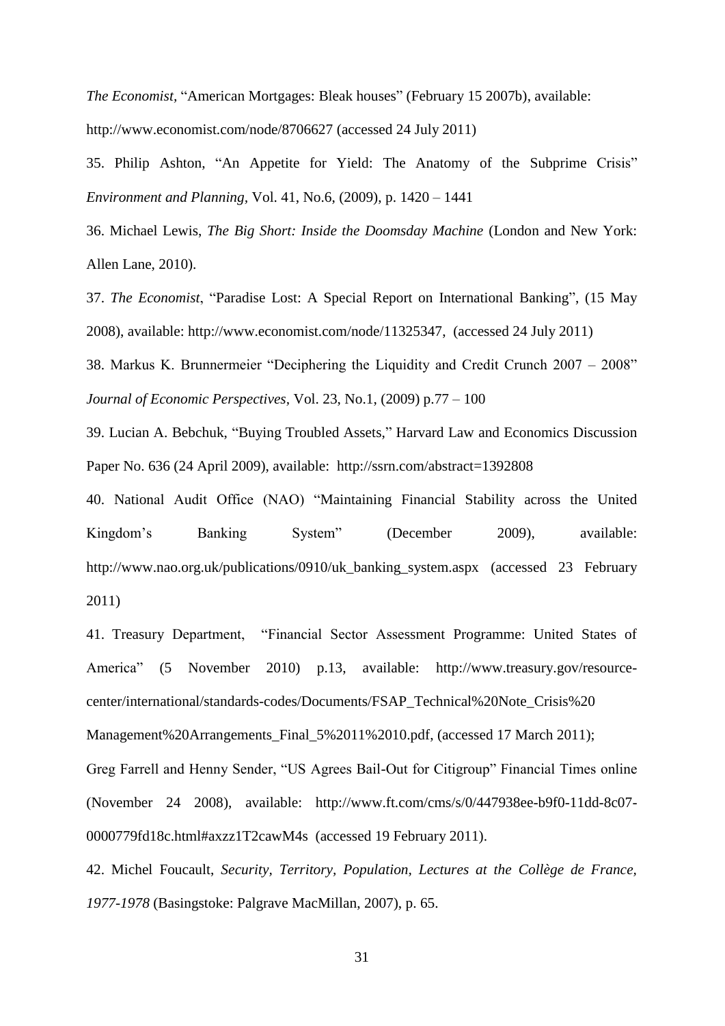*The Economist,* "American Mortgages: Bleak houses" (February 15 2007b), available: <http://www.economist.com/node/8706627> (accessed 24 July 2011)

35. Philip Ashton, "An Appetite for Yield: The Anatomy of the Subprime Crisis" *Environment and Planning,* Vol. 41, No.6, (2009), p. 1420 – 1441

36. Michael Lewis, *The Big Short: Inside the Doomsday Machine* (London and New York: Allen Lane, 2010).

37. *The Economist*, "Paradise Lost: A Special Report on International Banking", (15 May 2008), available: http://www.economist.com/node/11325347, (accessed 24 July 2011)

38. Markus K. Brunnermeier "Deciphering the Liquidity and Credit Crunch 2007 – 2008" *Journal of Economic Perspectives,* Vol. 23, No.1, (2009) p.77 – 100

39. Lucian A. Bebchuk, "Buying Troubled Assets," Harvard Law and Economics Discussion Paper No. 636 (24 April 2009), available: <http://ssrn.com/abstract=1392808>

40. National Audit Office (NAO) "Maintaining Financial Stability across the United Kingdom's Banking System" (December 2009), available: [http://www.nao.org.uk/publications/0910/uk\\_banking\\_system.aspx](http://www.nao.org.uk/publications/0910/uk_banking_system.aspx) (accessed 23 February 2011)

41. Treasury Department, "Financial Sector Assessment Programme: United States of America" (5 November 2010) p.13, available: [http://www.treasury.gov/resource](http://www.treasury.gov/resource-center/international/standards-codes/Documents/FSAP_Technical%20Note_)[center/international/standards-codes/Documents/FSAP\\_Technical%20Note\\_C](http://www.treasury.gov/resource-center/international/standards-codes/Documents/FSAP_Technical%20Note_)risis%20 Management%20Arrangements\_Final\_5%2011%2010.pdf, (accessed 17 March 2011); Greg Farrell and Henny Sender, "US Agrees Bail-Out for Citigroup" Financial Times online (November 24 2008), available: http://www.ft.com/cms/s/0/447938ee-b9f0-11dd-8c07-

0000779fd18c.html#axzz1T2cawM4s (accessed 19 February 2011).

42. Michel Foucault, *Security, Territory, Population, Lectures at the Collège de France, 1977-1978* (Basingstoke: Palgrave MacMillan, 2007), p. 65.

31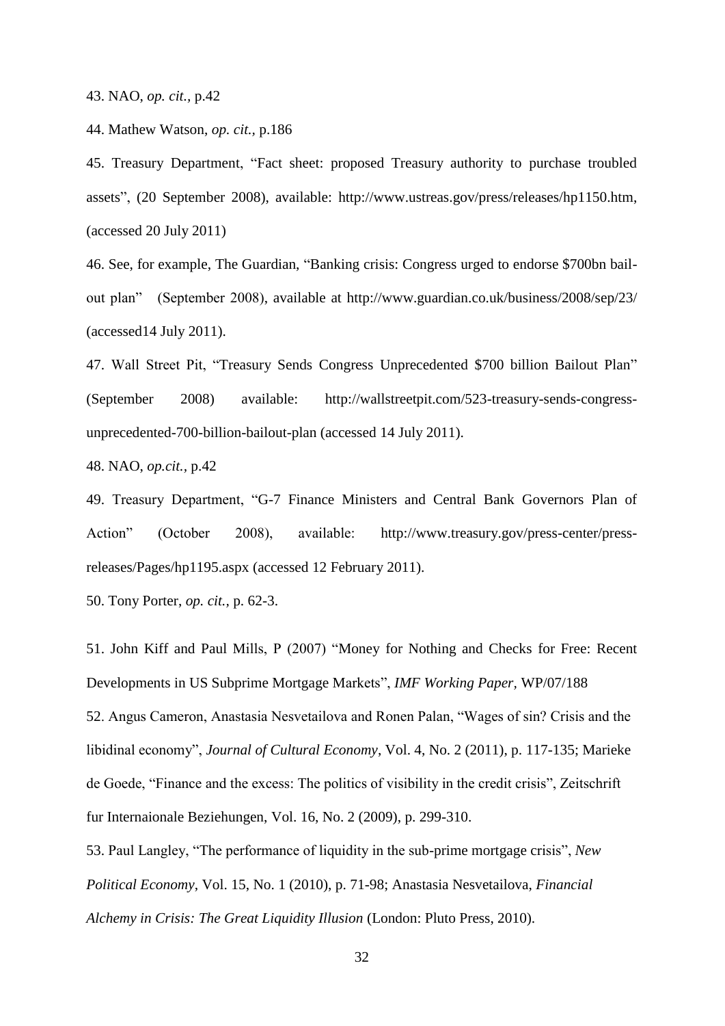43. NAO, *op. cit.,* p.42

44. Mathew Watson, *op. cit.,* p.186

45. Treasury Department, "Fact sheet: proposed Treasury authority to purchase troubled assets", (20 September 2008), available: [http://www.ustreas.gov/press/releases/hp1150.htm,](http://www.ustreas.gov/press/releases/hp1150.htm) (accessed 20 July 2011)

46. See, for example, The Guardian, "Banking crisis: Congress urged to endorse \$700bn bailout plan" (September 2008), available at<http://www.guardian.co.uk/business/2008/sep/23/> (accessed14 July 2011).

47. Wall Street Pit, "Treasury Sends Congress Unprecedented \$700 billion Bailout Plan" (September 2008) available: [http://wallstreetpit.com/523-treasury-sends-congress](http://wallstreetpit.com/523-treasury-sends-congress-unprecedented-700-billion-bailout-plan)[unprecedented-700-billion-bailout-plan](http://wallstreetpit.com/523-treasury-sends-congress-unprecedented-700-billion-bailout-plan) (accessed 14 July 2011).

48. NAO, *op.cit.,* p.42

49. Treasury Department, "G-7 Finance Ministers and Central Bank Governors Plan of Action" (October 2008), available: http://www.treasury.gov/press-center/pressreleases/Pages/hp1195.aspx (accessed 12 February 2011).

50. Tony Porter, *op. cit.,* p. 62-3.

51. John Kiff and Paul Mills, P (2007) "Money for Nothing and Checks for Free: Recent Developments in US Subprime Mortgage Markets", *IMF Working Paper,* WP/07/188 52. Angus Cameron, Anastasia Nesvetailova and Ronen Palan, "Wages of sin? Crisis and the libidinal economy", *Journal of Cultural Economy*, Vol. 4, No. 2 (2011), p. 117-135; Marieke de Goede, "Finance and the excess: The politics of visibility in the credit crisis", Zeitschrift fur Internaionale Beziehungen, Vol. 16, No. 2 (2009), p. 299-310.

53. Paul Langley, "The performance of liquidity in the sub-prime mortgage crisis", *New Political Economy*, Vol. 15, No. 1 (2010), p. 71-98; Anastasia Nesvetailova, *Financial Alchemy in Crisis: The Great Liquidity Illusion* (London: Pluto Press, 2010).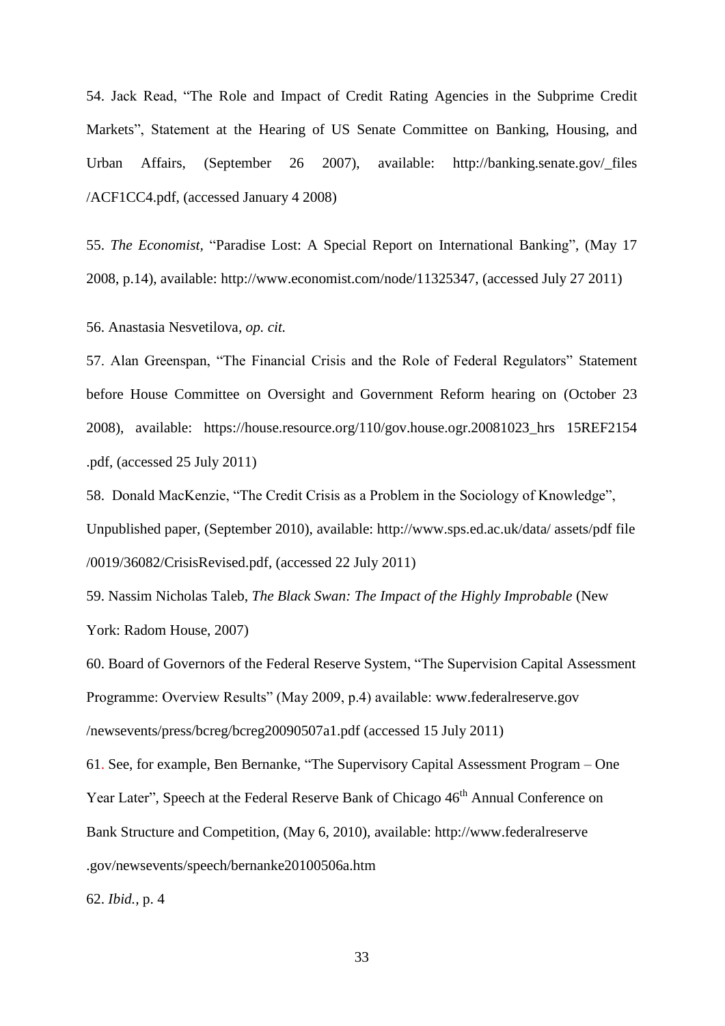54. Jack Read, "The Role and Impact of Credit Rating Agencies in the Subprime Credit Markets", Statement at the Hearing of US Senate Committee on Banking, Housing, and Urban Affairs, (September 26 2007), available: [http://banking.senate.gov/\\_files](http://banking.senate.gov/_files) /ACF1CC4.pdf, (accessed January 4 2008)

55. *The Economist,* "Paradise Lost: A Special Report on International Banking", (May 17 2008, p.14), available: [http://www.economist.com/node/11325347,](http://www.economist.com/node/11325347) (accessed July 27 2011)

56. Anastasia Nesvetilova*, op. cit.*

57. Alan Greenspan, "The Financial Crisis and the Role of Federal Regulators" Statement before House Committee on Oversight and Government Reform hearing on (October 23 2008), available: https://house.resource.org/110/gov.house.ogr.20081023\_hrs 15REF2154 .pdf, (accessed 25 July 2011)

58. Donald MacKenzie, "The Credit Crisis as a Problem in the Sociology of Knowledge", Unpublished paper, (September 2010), available: [http://www.sps.ed.ac.uk/data/ assets/pdf file](http://www.sps.ed.ac.uk/data/%20assets/pdf%20file) /0019/36082/CrisisRevised.pdf, (accessed 22 July 2011)

59. Nassim Nicholas Taleb, *The Black Swan: The Impact of the Highly Improbable* (New York: Radom House, 2007)

60. Board of Governors of the Federal Reserve System, "The Supervision Capital Assessment Programme: Overview Results" (May 2009, p.4) available: [www.federalreserve.gov](http://www.federalreserve.gov/) /newsevents/press/bcreg/bcreg20090507a1.pdf (accessed 15 July 2011)

61. See, for example, Ben Bernanke, "The Supervisory Capital Assessment Program – One Year Later", Speech at the Federal Reserve Bank of Chicago 46<sup>th</sup> Annual Conference on Bank Structure and Competition, (May 6, 2010), available: http://www.federalreserve .gov/newsevents/speech/bernanke20100506a.htm

62. *Ibid.,* p. 4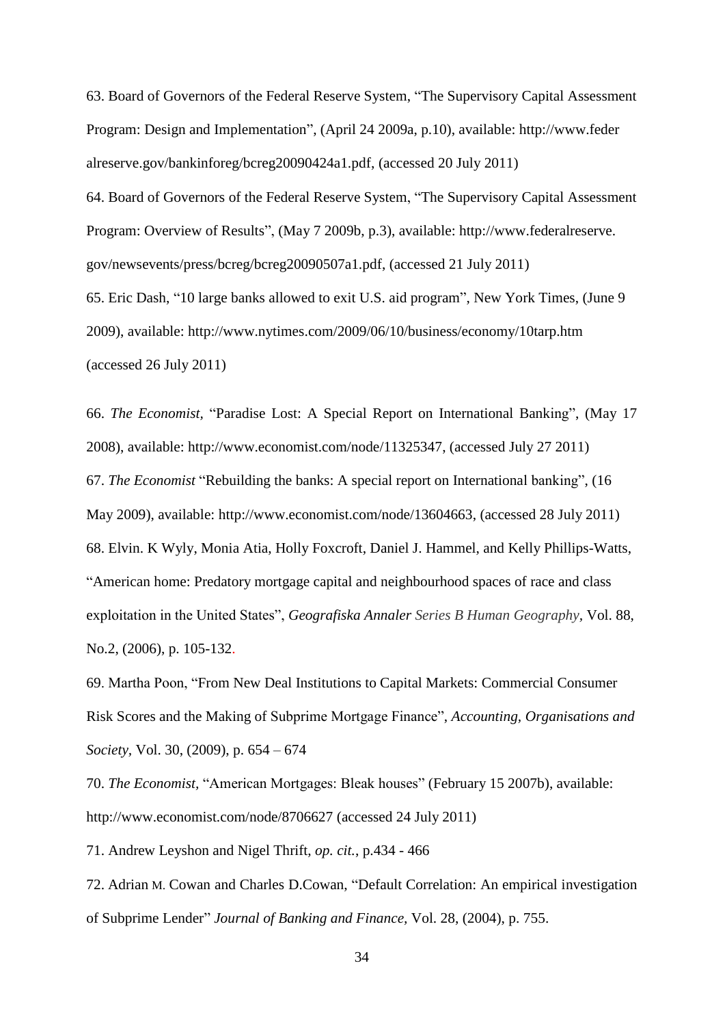63. Board of Governors of the Federal Reserve System, "The Supervisory Capital Assessment Program: Design and Implementation", (April 24 2009a, p.10), available: http://www.feder alreserve.gov/bankinforeg/bcreg20090424a1.pdf, (accessed 20 July 2011) 64. Board of Governors of the Federal Reserve System, "The Supervisory Capital Assessment Program: Overview of Results", (May 7 2009b, p.3), available: http://www.federalreserve. gov/newsevents/press/bcreg/bcreg20090507a1.pdf, (accessed 21 July 2011) 65. Eric Dash, "10 large banks allowed to exit U.S. aid program", New York Times, (June 9 2009), available: <http://www.nytimes.com/2009/06/10/business/economy/10tarp.htm> (accessed 26 July 2011)

66. *The Economist,* "Paradise Lost: A Special Report on International Banking", (May 17 2008), available: [http://www.economist.com/node/11325347,](http://www.economist.com/node/11325347) (accessed July 27 2011) 67. *The Economist* "Rebuilding the banks: A special report on International banking", (16 May 2009), available: [http://www.economist.com/node/13604663,](http://www.economist.com/node/13604663) (accessed 28 July 2011) 68. Elvin. K Wyly, Monia Atia, Holly Foxcroft, Daniel J. Hammel, and Kelly Phillips-Watts, "American home: Predatory mortgage capital and neighbourhood spaces of race and class exploitation in the United States", *Geografiska Annaler Series B Human Geography,* Vol. 88, No.2, (2006), p. 105-132.

69. Martha Poon, "From New Deal Institutions to Capital Markets: Commercial Consumer Risk Scores and the Making of Subprime Mortgage Finance", *Accounting, Organisations and Society,* Vol. 30, (2009), p. 654 – 674

70. *The Economist,* "American Mortgages: Bleak houses" (February 15 2007b), available: <http://www.economist.com/node/8706627> (accessed 24 July 2011)

71. Andrew Leyshon and Nigel Thrift, *op. cit.*, p.434 - 466

72. Adrian M. Cowan and Charles D.Cowan, "Default Correlation: An empirical investigation of Subprime Lender" *Journal of Banking and Finance,* Vol. 28, (2004), p. 755.